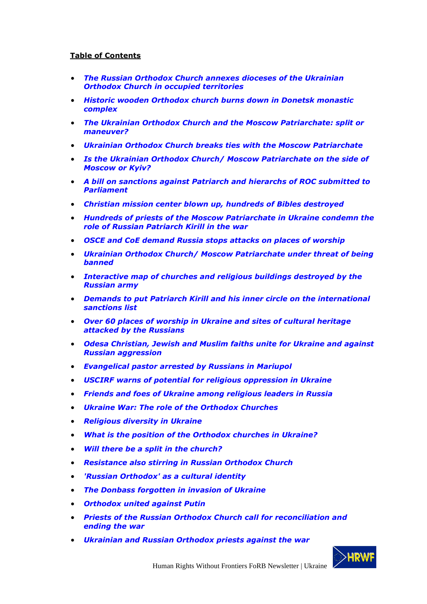## **Table of Contents**

- *[The Russian Orthodox Church annexes dioceses of the Ukrainian](#page-1-0)  Orthodox Church [in occupied territories](#page-1-0)*
- *[Historic wooden Orthodox church burns down](#page-2-0) in Donetsk monastic [complex](#page-2-0)*
- *[The Ukrainian Orthodox Church and the Moscow Patriarchate: split or](#page-3-0)  [maneuver?](#page-3-0)*
- *[Ukrainian Orthodox Church breaks ties with the Moscow Patriarchate](#page-5-0)*
- *[Is the Ukrainian Orthodox Church/ Moscow Patriarchate on the side of](#page-8-0)  [Moscow or Kyiv?](#page-8-0)*
- *[A bill on sanctions against Patriarch and hierarchs of ROС submit](#page-9-0)ted to [Parliament](#page-9-0)*
- *[Christian mission center blown up, hundreds of Bibles destroyed](#page-10-0)*
- *[Hundreds of priests of the Moscow Patriarchate in Ukraine condemn the](#page-12-0)  [role of Russian Patriarch Kirill in the war](#page-12-0)*
- *[OSCE and CoE demand Russia stops attacks on places of worship](#page-17-0)*
- *[Ukrainian Orthodox Church/ Moscow Patriarchate under threat of being](#page-18-0)  [banned](#page-18-0)*
- *[Interactive map of churches and religious buildings destroyed by the](#page-20-0)  [Russian army](#page-20-0)*
- *[Demands to put Patriarch Kirill and his inner circle on the international](#page-20-1)  [sanctions list](#page-20-1)*
- *[Over 60 places of worship in Ukraine and sites of cultural heritage](#page-22-0)  [attacked by the Russians](#page-22-0)*
- *[Odesa Christian, Jewish and Muslim faiths unite](#page-23-0) for Ukraine and against [Russian aggression](#page-23-0)*
- *[Evangelical pastor arrested by Russians in Mariupol](#page-25-0)*
- *[USCIRF warns of potential for religious oppression in Ukraine](#page-25-1)*
- *[Friends and foes of Ukraine among religious leaders in Russia](#page-26-0)*
- *[Ukraine War: The role of the Orthodox Churches](#page-28-0)*
- *[Religious diversity in Ukraine](#page-30-0)*
- *[What is the position of the Orthodox churches in Ukraine?](#page-30-1)*
- *[Will there be a split in the church?](#page-30-2)*
- *Resistance also stirring in [Russian Orthodox Church](#page-31-0)*
- *['Russian Orthodox' as a](#page-31-1) cultural identity*
- *[The Donbass forgotten in invasion of Ukraine](#page-32-0)*
- *[Orthodox united against Putin](#page-34-0)*
- *[Priests of the Russian Orthodox Church call for reconciliation and](#page-36-0)  [ending the war](#page-36-0)*
- *[Ukrainian and Russian Orthodox priests against the war](#page-37-0)*

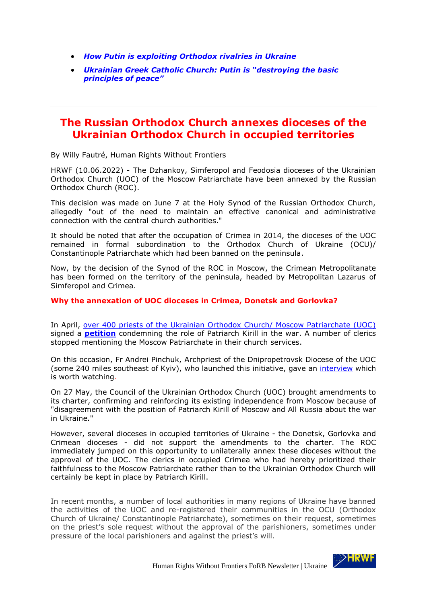- *[How Putin is exploiting Orthodox rivalries in Ukraine](#page-39-0)*
- *[Ukrainian Greek Catholic Church: Putin is "destroying the basic](#page-42-0)  [principles of peace"](#page-42-0)*

## <span id="page-1-0"></span>**The Russian Orthodox Church annexes dioceses of the Ukrainian Orthodox Church in occupied territories**

By Willy Fautré, Human Rights Without Frontiers

HRWF (10.06.2022) - The Dzhankoy, Simferopol and Feodosia dioceses of the Ukrainian Orthodox Church (UOC) of the Moscow Patriarchate have been annexed by the Russian Orthodox Church (ROC).

This decision was made on June 7 at the Holy Synod of the Russian Orthodox Church, allegedly "out of the need to maintain an effective canonical and administrative connection with the central church authorities."

It should be noted that after the occupation of Crimea in 2014, the dioceses of the UOC remained in formal subordination to the Orthodox Church of Ukraine (OCU)/ Constantinople Patriarchate which had been banned on the peninsula.

Now, by the decision of the Synod of the ROC in Moscow, the Crimean Metropolitanate has been formed on the territory of the peninsula, headed by Metropolitan Lazarus of Simferopol and Crimea.

#### **Why the annexation of UOC dioceses in Crimea, Donetsk and Gorlovka?**

In April, [over 400 priests of the Ukrainian Orthodox Church/ Moscow Patriarchate \(UOC\)](https://www.facebook.com/permalink.php?story_fbid=5012948892114452&id=100001981718431&comment_id=5012995842109757&reply_comment_id=5013656178710390¬if_id=1649625073166925¬if_t=comment_mention&ref=notif) signed a **[petition](https://risu.ua/en/international-ecclesiastical-tribunal-for-cyril---almost-200-priests-of-the-uoc-mp-demand_n128244)** condemning the role of Patriarch Kirill in the war. A number of clerics stopped mentioning the Moscow Patriarchate in their church services.

On this occasion, Fr Andrei Pinchuk, Archpriest of the Dnipropetrovsk Diocese of the UOC (some 240 miles southeast of Kyiv), who launched this initiative, gave an [interview](https://www.youtube.com/watch?v=yo-fxseQxSU) which is worth watching*.*

On 27 May, the Council of the Ukrainian Orthodox Church (UOC) brought amendments to its charter, confirming and reinforcing its existing independence from Moscow because of "disagreement with the position of Patriarch Kirill of Moscow and All Russia about the war in Ukraine."

However, several dioceses in occupied territories of Ukraine - the Donetsk, Gorlovka and Crimean dioceses - did not support the amendments to the charter. The ROC immediately jumped on this opportunity to unilaterally annex these dioceses without the approval of the UOC. The clerics in occupied Crimea who had hereby prioritized their faithfulness to the Moscow Patriarchate rather than to the Ukrainian Orthodox Church will certainly be kept in place by Patriarch Kirill.

In recent months, a number of local authorities in many regions of Ukraine have banned the activities of the UOC and re-registered their communities in the OCU (Orthodox Church of Ukraine/ Constantinople Patriarchate), sometimes on their request, sometimes on the priest's sole request without the approval of the parishioners, sometimes under pressure of the local parishioners and against the priest's will.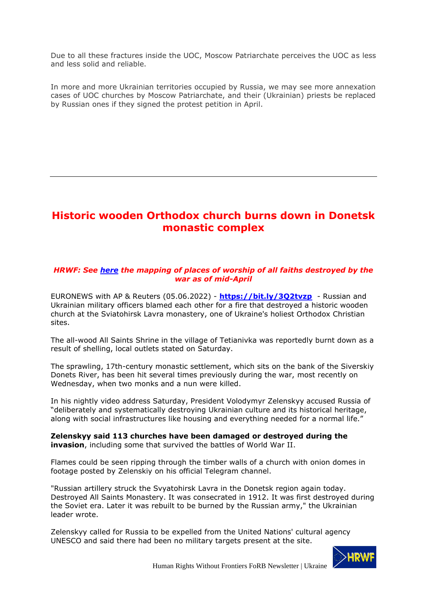Due to all these fractures inside the UOC, Moscow Patriarchate perceives the UOC as less and less solid and reliable.

In more and more Ukrainian territories occupied by Russia, we may see more annexation cases of UOC churches by Moscow Patriarchate, and their (Ukrainian) priests be replaced by Russian ones if they signed the protest petition in April.

# <span id="page-2-0"></span>**Historic wooden Orthodox church burns down in Donetsk monastic complex**

### *HRWF: See [here](https://www.google.com/maps/d/u/0/viewer?mid=1KeG6j5kmZbssWiejfabf1z3vEwt4Lztw&fbclid=IwAR1w2D012B1BSj5Uj-ab9Magw9ahICrmXsHmf228I7Gnr9A2Y3RE5c5Kwow&ll=50.57097207894431%2C30.507079797473924&z=10) the mapping of places of worship of all faiths destroyed by the war as of mid-April*

EURONEWS with AP & Reuters (05.06.2022) - **<https://bit.ly/3Q2tvzp>** - Russian and Ukrainian military officers blamed each other for a fire that destroyed a historic wooden church at the Sviatohirsk Lavra monastery, one of Ukraine's holiest Orthodox Christian sites.

The all-wood All Saints Shrine in the village of Tetianivka was reportedly burnt down as a result of shelling, local outlets stated on Saturday.

The sprawling, 17th-century monastic settlement, which sits on the bank of the Siverskiy Donets River, has been hit several times previously during the war, most recently on Wednesday, when two monks and a nun were killed.

In his nightly video address Saturday, President Volodymyr Zelenskyy accused Russia of "deliberately and systematically destroying Ukrainian culture and its historical heritage, along with social infrastructures like housing and everything needed for a normal life."

**Zelenskyy said 113 churches have been damaged or destroyed during the invasion**, including some that survived the battles of World War II.

Flames could be seen ripping through the timber walls of a church with onion domes in footage posted by Zelenskiy on his official Telegram channel.

"Russian artillery struck the Svyatohirsk Lavra in the Donetsk region again today. Destroyed All Saints Monastery. It was consecrated in 1912. It was first destroyed during the Soviet era. Later it was rebuilt to be burned by the Russian army," the Ukrainian leader wrote.

Zelenskyy called for Russia to be expelled from the United Nations' cultural agency UNESCO and said there had been no military targets present at the site.

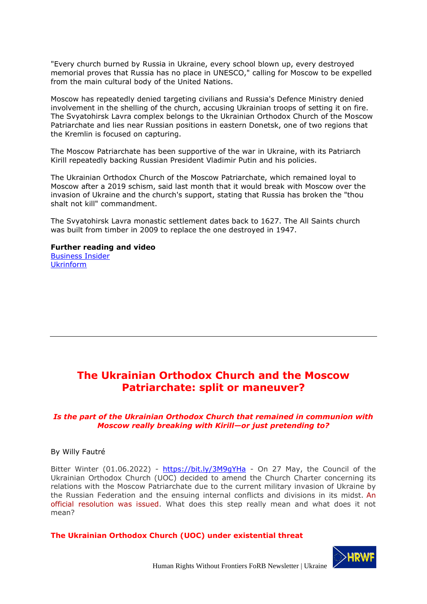"Every church burned by Russia in Ukraine, every school blown up, every destroyed memorial proves that Russia has no place in UNESCO," calling for Moscow to be expelled from the main cultural body of the United Nations.

Moscow has repeatedly denied targeting civilians and Russia's Defence Ministry denied involvement in the shelling of the church, accusing Ukrainian troops of setting it on fire. The Svyatohirsk Lavra complex belongs to the Ukrainian Orthodox Church of the Moscow Patriarchate and lies near Russian positions in eastern Donetsk, one of two regions that the Kremlin is focused on capturing.

The Moscow Patriarchate has been supportive of the war in Ukraine, with its Patriarch Kirill repeatedly backing Russian President Vladimir Putin and his policies.

The Ukrainian Orthodox Church of the Moscow Patriarchate, which remained loyal to Moscow after a 2019 schism, said last month that it would break with Moscow over the invasion of Ukraine and the church's support, stating that Russia has broken the "thou shalt not kill" commandment.

The Svyatohirsk Lavra monastic settlement dates back to 1627. The All Saints church was built from timber in 2009 to replace the one destroyed in 1947.

## **Further reading and video**

[Business Insider](https://www.businessinsider.com/ukraine-temple-sviatohirsk-lavra-on-fire-after-russian-attack-2022-6?r=US&IR=T) [Ukrinform](https://www.ukrinform.net/rubric-ato/3499857-president-zelensky-after-russias-artillery-strike-on-sviatohirsk-lavra-russia-has-no-place-in-unesco.html)

# <span id="page-3-0"></span>**The Ukrainian Orthodox Church and the Moscow Patriarchate: split or maneuver?**

### *Is the part of the Ukrainian Orthodox Church that remained in communion with Moscow really breaking with Kirill—or just pretending to?*

By Willy Fautré

Bitter Winter (01.06.2022) - https://bit.ly/3M9qYHa - On 27 May, the Council of the Ukrainian Orthodox Church (UOC) decided to amend the Church Charter concerning its relations with the Moscow Patriarchate due to the current military invasion of Ukraine by the Russian Federation and the ensuing internal conflicts and divisions in its midst. [An](https://news.church.ua/2022/05/28/resolutions-council-ukrainian-orthodox-church-may-27-2022/?lang=en)  [official resolution was issued.](https://news.church.ua/2022/05/28/resolutions-council-ukrainian-orthodox-church-may-27-2022/?lang=en) What does this step really mean and what does it not mean?

**The Ukrainian Orthodox Church (UOC) under existential threat**

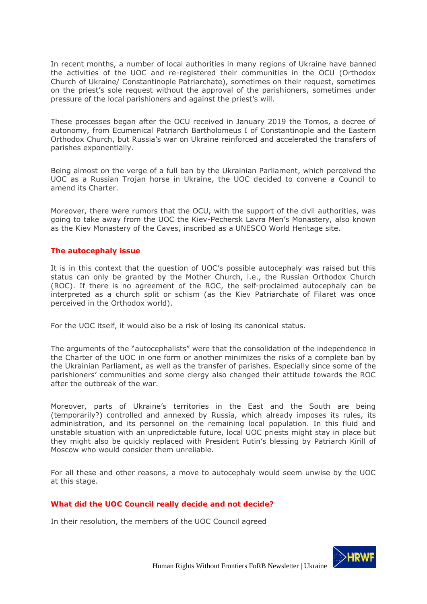In recent months, a number of local authorities in many regions of Ukraine have banned the activities of the UOC and re-registered their communities in the OCU (Orthodox Church of Ukraine/ Constantinople Patriarchate), sometimes on their request, sometimes on the priest's sole request without the approval of the parishioners, sometimes under pressure of the local parishioners and against the priest's will.

These processes began after the OCU received in January 2019 the Tomos, a decree of autonomy, from Ecumenical Patriarch Bartholomeus I of Constantinople and the Eastern Orthodox Church, but Russia's war on Ukraine reinforced and accelerated the transfers of parishes exponentially.

Being almost on the verge of a full ban by the Ukrainian Parliament, which perceived the UOC as a Russian Trojan horse in Ukraine, the UOC decided to convene a Council to amend its Charter.

Moreover, there were rumors that the OCU, with the support of the civil authorities, was going to take away from the UOC the Kiev-Pechersk Lavra Men's Monastery, also known as the Kiev Monastery of the Caves, inscribed as a UNESCO World Heritage site.

#### **The autocephaly issue**

It is in this context that the question of UOC's possible autocephaly was raised but this status can only be granted by the Mother Church, i.e., the Russian Orthodox Church (ROC). If there is no agreement of the ROC, the self-proclaimed autocephaly can be interpreted as a church split or schism (as the Kiev Patriarchate of Filaret was once perceived in the Orthodox world).

For the UOC itself, it would also be a risk of losing its canonical status.

The arguments of the "autocephalists" were that the consolidation of the independence in the Charter of the UOC in one form or another minimizes the risks of a complete ban by the Ukrainian Parliament, as well as the transfer of parishes. Especially since some of the parishioners' communities and some clergy also changed their attitude towards the ROC after the outbreak of the war.

Moreover, parts of Ukraine's territories in the East and the South are being (temporarily?) controlled and annexed by Russia, which already imposes its rules, its administration, and its personnel on the remaining local population. In this fluid and unstable situation with an unpredictable future, local UOC priests might stay in place but they might also be quickly replaced with President Putin's blessing by Patriarch Kirill of Moscow who would consider them unreliable.

For all these and other reasons, a move to autocephaly would seem unwise by the UOC at this stage.

#### **What did the UOC Council really decide and not decide?**

In their resolution, the members of the UOC Council agreed

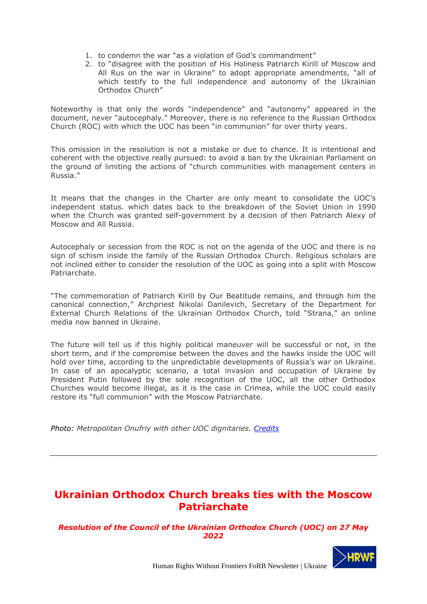- 1. to condemn the war "as a violation of God's commandment"
- 2. to "disagree with the position of His Holiness Patriarch Kirill of Moscow and All Rus on the war in Ukraine" to adopt appropriate amendments, "all of which testify to the full independence and autonomy of the Ukrainian Orthodox Church"

Noteworthy is that only the words "independence" and "autonomy" appeared in the document, never "autocephaly." Moreover, there is no reference to the Russian Orthodox Church (ROC) with which the UOC has been "in communion" for over thirty years.

This omission in the resolution is not a mistake or due to chance. It is intentional and coherent with the objective really pursued: to avoid a ban by the Ukrainian Parliament on the ground of limiting the actions of "church communities with management centers in Russia."

It means that the changes in the Charter are only meant to consolidate the UOC's independent status. which dates back to the breakdown of the Soviet Union in 1990 when the Church was granted self-government by a decision of then Patriarch Alexy of Moscow and All Russia.

Autocephaly or secession from the ROC is not on the agenda of the UOC and there is no sign of schism inside the family of the Russian Orthodox Church. Religious scholars are not inclined either to consider the resolution of the UOC as going into a split with Moscow Patriarchate.

"The commemoration of Patriarch Kirill by Our Beatitude remains, and through him the canonical connection," Archpriest Nikolai Danilevich, Secretary of the Department for External Church Relations of the Ukrainian Orthodox Church, told "Strana," an online media now banned in Ukraine.

The future will tell us if this highly political maneuver will be successful or not, in the short term, and if the compromise between the doves and the hawks inside the UOC will hold over time, according to the unpredictable developments of Russia's war on Ukraine. In case of an apocalyptic scenario, a total invasion and occupation of Ukraine by President Putin followed by the sole recognition of the UOC, all the other Orthodox Churches would become illegal, as it is the case in Crimea, while the UOC could easily restore its "full communion" with the Moscow Patriarchate.

*Photo: Metropolitan Onufriy with other UOC dignitaries. [Credits](https://commons.wikimedia.org/wiki/File:Onuphrius_(Berezovsky),Kyiv_2016_13.JPG)*

# <span id="page-5-0"></span>**Ukrainian Orthodox Church breaks ties with the Moscow Patriarchate**

## *Resolution of the Council of the Ukrainian Orthodox Church (UOC) on 27 May 2022*

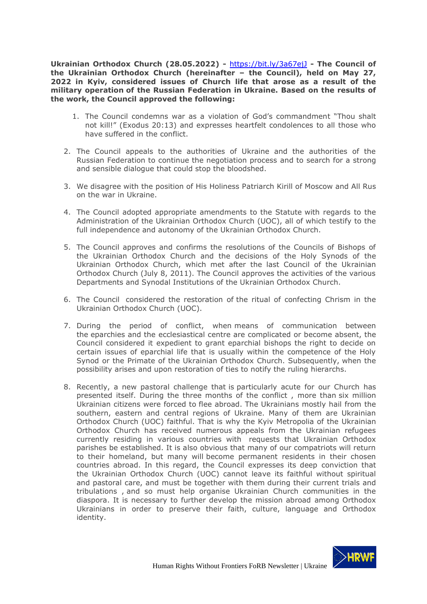**Ukrainian Orthodox Church (28.05.2022) -** <https://bit.ly/3a67ejJ> **- The Council of the Ukrainian Orthodox Church (hereinafter – the Council), held on May 27, 2022 in Kyiv, considered issues of Church life that arose as a result of the military operation of the Russian Federation in Ukraine. Based on the results of the work, the Council approved the following:**

- 1. The Council condemns war as a violation of God's commandment "Thou shalt not kill!" (Exodus 20:13) and expresses heartfelt condolences to all those who have suffered in the conflict.
- 2. The Council appeals to the authorities of Ukraine and the authorities of the Russian Federation to continue the negotiation process and to search for a strong and sensible dialogue that could stop the bloodshed.
- 3. We disagree with the position of His Holiness Patriarch Kirill of Moscow and All Rus on the war in Ukraine.
- 4. The Council adopted appropriate amendments to the Statute with regards to the Administration of the Ukrainian Orthodox Church (UOC), all of which testify to the full independence and autonomy of the Ukrainian Orthodox Church.
- 5. The Council approves and confirms the resolutions of the Councils of Bishops of the Ukrainian Orthodox Church and the decisions of the Holy Synods of the Ukrainian Orthodox Church, which met after the last Council of the Ukrainian Orthodox Church (July 8, 2011). The Council approves the activities of the various Departments and Synodal Institutions of the Ukrainian Orthodox Church.
- 6. The Council considered the restoration of the ritual of confecting Chrism in the Ukrainian Orthodox Church (UOC).
- 7. During the period of conflict, when means of communication between the eparchies and the ecclesiastical centre are complicated or become absent, the Council considered it expedient to grant eparchial bishops the right to decide on certain issues of eparchial life that is usually within the competence of the Holy Synod or the Primate of the Ukrainian Orthodox Church. Subsequently, when the possibility arises and upon restoration of ties to notify the ruling hierarchs.
- 8. Recently, a new pastoral challenge that is particularly acute for our Church has presented itself. During the three months of the conflict , more than six million Ukrainian citizens were forced to flee abroad. The Ukrainians mostly hail from the southern, eastern and central regions of Ukraine. Many of them are Ukrainian Orthodox Church (UOC) faithful. That is why the Kyiv Metropolia of the Ukrainian Orthodox Church has received numerous appeals from the Ukrainian refugees currently residing in various countries with requests that Ukrainian Orthodox parishes be established. It is also obvious that many of our compatriots will return to their homeland, but many will become permanent residents in their chosen countries abroad. In this regard, the Council expresses its deep conviction that the Ukrainian Orthodox Church (UOC) cannot leave its faithful without spiritual and pastoral care, and must be together with them during their current trials and tribulations , and so must help organise Ukrainian Church communities in the diaspora. It is necessary to further develop the mission abroad among Orthodox Ukrainians in order to preserve their faith, culture, language and Orthodox identity.

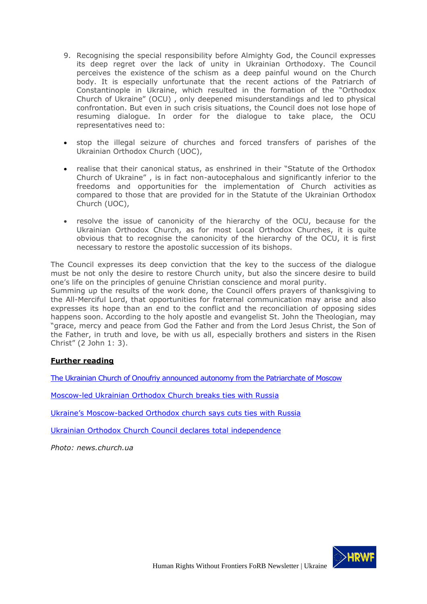- 9. Recognising the special responsibility before Almighty God, the Council expresses its deep regret over the lack of unity in Ukrainian Orthodoxy. The Council perceives the existence of the schism as a deep painful wound on the Church body. It is especially unfortunate that the recent actions of the Patriarch of Constantinople in Ukraine, which resulted in the formation of the "Orthodox Church of Ukraine" (OCU) , only deepened misunderstandings and led to physical confrontation. But even in such crisis situations, the Council does not lose hope of resuming dialogue. In order for the dialogue to take place, the OCU representatives need to:
- stop the illegal seizure of churches and forced transfers of parishes of the Ukrainian Orthodox Church (UOC),
- realise that their canonical status, as enshrined in their "Statute of the Orthodox Church of Ukraine" , is in fact non-autocephalous and significantly inferior to the freedoms and opportunities for the implementation of Church activities as compared to those that are provided for in the Statute of the Ukrainian Orthodox Church (UOC),
- resolve the issue of canonicity of the hierarchy of the OCU, because for the Ukrainian Orthodox Church, as for most Local Orthodox Churches, it is quite obvious that to recognise the canonicity of the hierarchy of the OCU, it is first necessary to restore the apostolic succession of its bishops.

The Council expresses its deep conviction that the key to the success of the dialogue must be not only the desire to restore Church unity, but also the sincere desire to build one's life on the principles of genuine Christian conscience and moral purity.

Summing up the results of the work done, the Council offers prayers of thanksgiving to the All-Merciful Lord, that opportunities for fraternal communication may arise and also expresses its hope than an end to the conflict and the reconciliation of opposing sides happens soon. According to the holy apostle and evangelist St. John the Theologian, may "grace, mercy and peace from God the Father and from the Lord Jesus Christ, the Son of the Father, in truth and love, be with us all, especially brothers and sisters in the Risen Christ" (2 John 1: 3).

## **Further reading**

[The Ukrainian Church of Onoufriy announced autonomy from the Patriarchate of](https://orthodoxtimes.com/the-ukrainian-church-of-onoufriy-announced-autonomy-from-the-patriarchate-of-moscow/) Moscow

[Moscow-led Ukrainian Orthodox Church breaks ties with Russia](https://www.reuters.com/world/europe/moscow-led-ukrainian-orthodox-church-breaks-ties-with-russia-2022-05-28/)

Ukraine's Moscow[-backed Orthodox church says cuts ties with Russia](https://english.alarabiya.net/News/world/2022/05/27/Ukraine-s-Moscow-backed-Orthodox-church-says-cuts-ties-with-Russia)

[Ukrainian Orthodox Church Council declares total independence](http://www.interfax-religion.com/?act=news&div=16565)

*Photo: news.church.ua*

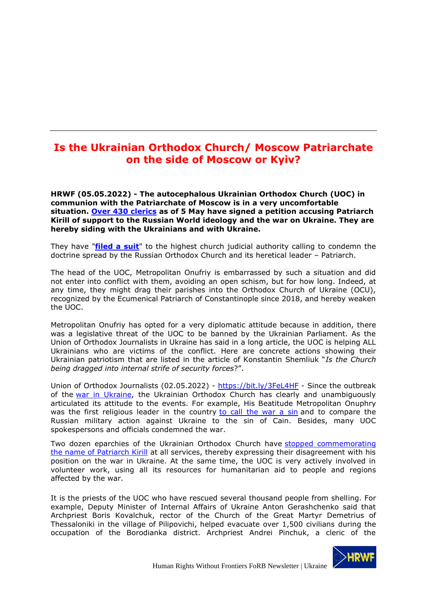# <span id="page-8-0"></span>**Is the Ukrainian Orthodox Church/ Moscow Patriarchate on the side of Moscow or Kyiv?**

**HRWF (05.05.2022) - The autocephalous Ukrainian Orthodox Church (UOC) in communion with the Patriarchate of Moscow is in a very uncomfortable situation. [Over 430 clerics](https://www.facebook.com/permalink.php?story_fbid=5012948892114452&id=100001981718431&comment_id=5012995842109757&reply_comment_id=5013656178710390¬if_id=1649625073166925¬if_t=comment_mention&ref=notif) as of 5 May have signed a petition accusing Patriarch Kirill of support to the Russian World ideology and the war on Ukraine. They are hereby siding with the Ukrainians and with Ukraine.**

They have "**[filed a suit](https://www.youtube.com/watch?v=yo-fxseQxSU&t=191s)**" to the highest church judicial authority calling to condemn the doctrine spread by the Russian Orthodox Church and its heretical leader – Patriarch.

The head of the UOC, Metropolitan Onufriy is embarrassed by such a situation and did not enter into conflict with them, avoiding an open schism, but for how long. Indeed, at any time, they might drag their parishes into the Orthodox Church of Ukraine (OCU), recognized by the Ecumenical Patriarch of Constantinople since 2018, and hereby weaken the UOC.

Metropolitan Onufriy has opted for a very diplomatic attitude because in addition, there was a legislative threat of the UOC to be banned by the Ukrainian Parliament. As the Union of Orthodox Journalists in Ukraine has said in a long article, the UOC is helping ALL Ukrainians who are victims of the conflict. Here are concrete actions showing their Ukrainian patriotism that are listed in the article of Konstantin Shemliuk "*Is the Church being dragged into internal strife of security forces*?".

Union of Orthodox Journalists (02.05.2022) - <https://bit.ly/3FeL4HF> - Since the outbreak of the [war in Ukraine,](https://spzh.news/en/tag/vojna-v-ukraine-911) the Ukrainian Orthodox Church has clearly and unambiguously articulated its attitude to the events. For example, His Beatitude Metropolitan Onuphry was the first religious leader in the country [to call the war a sin](https://spzh.news/en/news/86670-predstojately-upc-prizval-putina-prekratity-vojnu) and to compare the Russian military action against Ukraine to the sin of Cain. Besides, many UOC spokespersons and officials condemned the war.

Two dozen eparchies of the Ukrainian Orthodox Church have [stopped commemorating](https://spzh.news/en/news/86823-ryad-jeparkhij-upc-prekrashhajut-pominovenije-patriarkha-kirilla)  [the name of Patriarch Kirill](https://spzh.news/en/news/86823-ryad-jeparkhij-upc-prekrashhajut-pominovenije-patriarkha-kirilla) at all services, thereby expressing their disagreement with his position on the war in Ukraine. At the same time, the UOC is very actively involved in volunteer work, using all its resources for humanitarian aid to people and regions affected by the war.

It is the priests of the UOC who have rescued several thousand people from shelling. For example, Deputy Minister of Internal Affairs of Ukraine Anton Gerashchenko said that Archpriest Boris Kovalchuk, rector of the Church of the Great Martyr Demetrius of Thessaloniki in the village of Pilipovichi, helped evacuate over 1,500 civilians during the occupation of the Borodianka district. Archpriest Andrei Pinchuk, a cleric of the

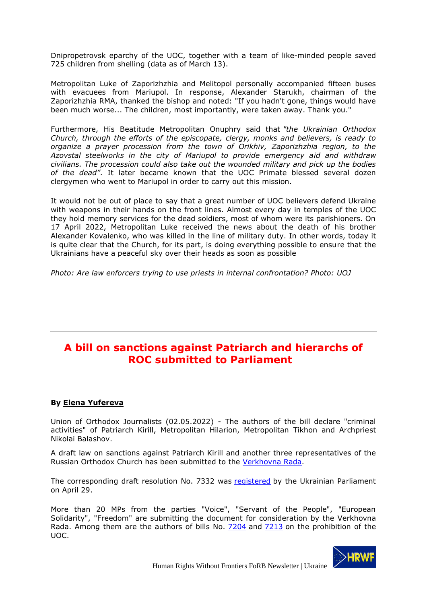Dnipropetrovsk eparchy of the UOC, together with a team of like-minded people saved 725 children from shelling (data as of March 13).

Metropolitan Luke of Zaporizhzhia and Melitopol personally accompanied fifteen buses with evacuees from Mariupol. In response, Alexander Starukh, chairman of the Zaporizhzhia RMA, thanked the bishop and noted: "If you hadn't gone, things would have been much worse... The children, most importantly, were taken away. Thank you."

Furthermore, His Beatitude Metropolitan Onuphry said that *"the Ukrainian Orthodox Church, through the efforts of the episcopate, clergy, monks and believers, is ready to organize a prayer procession from the town of Orikhiv, Zaporizhzhia region, to the Azovstal steelworks in the city of Mariupol to provide emergency aid and withdraw civilians. The procession could also take out the wounded military and pick up the bodies of the dead"*. It later became known that the UOC Primate blessed several dozen clergymen who went to Mariupol in order to carry out this mission.

It would not be out of place to say that a great number of UOC believers defend Ukraine with weapons in their hands on the front lines. Almost every day in temples of the UOC they hold memory services for the dead soldiers, most of whom were its parishioners. On 17 April 2022, Metropolitan Luke received the news about the death of his brother Alexander Kovalenko, who was killed in the line of military duty. In other words, today it is quite clear that the Church, for its part, is doing everything possible to ensure that the Ukrainians have a peaceful sky over their heads as soon as possible

*Photo: Are law enforcers trying to use priests in internal confrontation? Photo: UOJ*

# <span id="page-9-0"></span>**A bill on sanctions against Patriarch and hierarchs of ROС submitted to Parliament**

## **By [Elena Yufereva](https://spzh.news/en/author/jelena-jufereva-1113)**

Union of Orthodox Journalists (02.05.2022) - The authors of the bill declare "criminal activities" of Patriarch Kirill, Metropolitan Hilarion, Metropolitan Tikhon and Archpriest Nikolai Balashov.

A draft law on sanctions against Patriarch Kirill and another three representatives of the Russian Orthodox Church has been submitted to the [Verkhovna Rada.](https://spzh.news/en/tag/verkhovnaja-rada-342)

The corresponding draft resolution No. 7332 was [registered](https://itd.rada.gov.ua/billInfo/Bills/Card/39516) by the Ukrainian Parliament on April 29.

More than 20 MPs from the parties "Voice", "Servant of the People", "European Solidarity", "Freedom" are submitting the document for consideration by the Verkhovna Rada. Among them are the authors of bills No. [7204](https://spzh.news/en/news/87383-rada-opublikovala-tekst-zakonoprojekta-o-zaprete-upc) and [7213](https://spzh.news/en/news/87320-v-radu-vnesli-jeshhe-odin-zakonoprojekt-o-zaprete-upc) on the prohibition of the UOC.

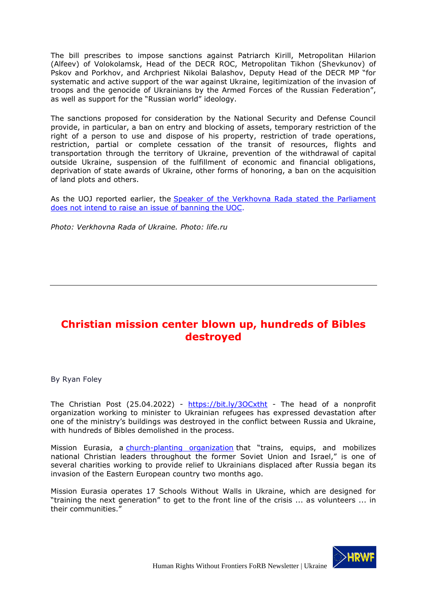The bill prescribes to impose sanctions against Patriarch Kirill, Metropolitan Hilarion (Alfeev) of Volokolamsk, Head of the DECR ROC, Metropolitan Tikhon (Shevkunov) of Pskov and Porkhov, and Archpriest Nikolai Balashov, Deputy Head of the DECR MP "for systematic and active support of the war against Ukraine, legitimization of the invasion of troops and the genocide of Ukrainians by the Armed Forces of the Russian Federation", as well as support for the "Russian world" ideology.

The sanctions proposed for consideration by the National Security and Defense Council provide, in particular, a ban on entry and blocking of assets, temporary restriction of the right of a person to use and dispose of his property, restriction of trade operations, restriction, partial or complete cessation of the transit of resources, flights and transportation through the territory of Ukraine, prevention of the withdrawal of capital outside Ukraine, suspension of the fulfillment of economic and financial obligations, deprivation of state awards of Ukraine, other forms of honoring, a ban on the acquisition of land plots and others.

As the UOJ reported earlier, the [Speaker of the Verkhovna Rada stated the Parliament](https://spzh.news/en/news/87955-v-parlamente-net-temy-zapreta-upcspiker-vr)  [does not intend to raise an issue of banning the UOC.](https://spzh.news/en/news/87955-v-parlamente-net-temy-zapreta-upcspiker-vr)

*Photo: Verkhovna Rada of Ukraine. Photo: life.ru*

# <span id="page-10-0"></span>**Christian mission center blown up, hundreds of Bibles destroyed**

By Ryan Foley

The Christian Post (25.04.2022) - <https://bit.ly/3OCxtht> - The head of a nonprofit organization working to minister to Ukrainian refugees has expressed devastation after one of the ministry's buildings was destroyed in the conflict between Russia and Ukraine, with hundreds of Bibles demolished in the process.

Mission Eurasia, a [church-planting organization](https://files.constantcontact.com/dbebe121701/4dc16aea-5650-4672-be0f-7f6d1f0a936a.pdf?rdr=true) that "trains, equips, and mobilizes national Christian leaders throughout the former Soviet Union and Israel," is one of several charities working to provide relief to Ukrainians displaced after Russia began its invasion of the Eastern European country two months ago.

Mission Eurasia operates 17 Schools Without Walls in Ukraine, which are designed for "training the next generation" to get to the front line of the crisis ... as volunteers ... in their communities."

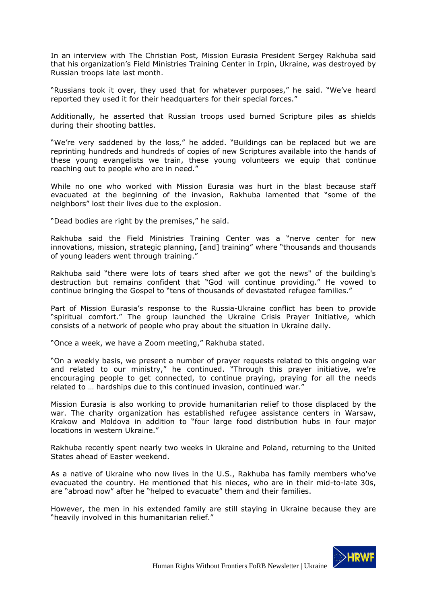In an interview with The Christian Post, Mission Eurasia President Sergey Rakhuba said that his organization's Field Ministries Training Center in Irpin, Ukraine, was destroyed by Russian troops late last month.

"Russians took it over, they used that for whatever purposes," he said. "We've heard reported they used it for their headquarters for their special forces."

Additionally, he asserted that Russian troops used burned Scripture piles as shields during their shooting battles.

"We're very saddened by the loss," he added. "Buildings can be replaced but we are reprinting hundreds and hundreds of copies of new Scriptures available into the hands of these young evangelists we train, these young volunteers we equip that continue reaching out to people who are in need."

While no one who worked with Mission Eurasia was hurt in the blast because staff evacuated at the beginning of the invasion, Rakhuba lamented that "some of the neighbors" lost their lives due to the explosion.

"Dead bodies are right by the premises," he said.

Rakhuba said the Field Ministries Training Center was a "nerve center for new innovations, mission, strategic planning, [and] training" where "thousands and thousands of young leaders went through training."

Rakhuba said "there were lots of tears shed after we got the news" of the building's destruction but remains confident that "God will continue providing." He vowed to continue bringing the Gospel to "tens of thousands of devastated refugee families."

Part of Mission Eurasia's response to the Russia-Ukraine conflict has been to provide "spiritual comfort." The group launched the Ukraine Crisis Prayer Initiative, which consists of a network of people who pray about the situation in Ukraine daily.

"Once a week, we have a Zoom meeting," Rakhuba stated.

"On a weekly basis, we present a number of prayer requests related to this ongoing war and related to our ministry," he continued. "Through this prayer initiative, we're encouraging people to get connected, to continue praying, praying for all the needs related to … hardships due to this continued invasion, continued war."

Mission Eurasia is also working to provide humanitarian relief to those displaced by the war. The charity organization has established refugee assistance centers in Warsaw, Krakow and Moldova in addition to "four large food distribution hubs in four major locations in western Ukraine."

Rakhuba recently spent nearly two weeks in Ukraine and Poland, returning to the United States ahead of Easter weekend.

As a native of Ukraine who now lives in the U.S., Rakhuba has family members who've evacuated the country. He mentioned that his nieces, who are in their mid-to-late 30s, are "abroad now" after he "helped to evacuate" them and their families.

However, the men in his extended family are still staying in Ukraine because they are "heavily involved in this humanitarian relief."

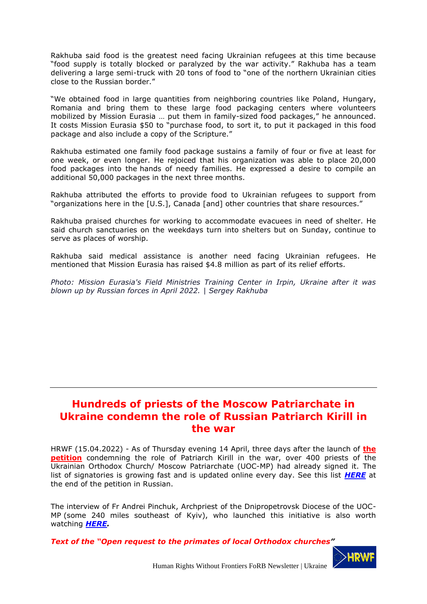Rakhuba said food is the greatest need facing Ukrainian refugees at this time because "food supply is totally blocked or paralyzed by the war activity." Rakhuba has a team delivering a large semi-truck with 20 tons of food to "one of the northern Ukrainian cities close to the Russian border."

"We obtained food in large quantities from neighboring countries like Poland, Hungary, Romania and bring them to these large food packaging centers where volunteers mobilized by Mission Eurasia … put them in family-sized food packages," he announced. It costs Mission Eurasia \$50 to "purchase food, to sort it, to put it packaged in this food package and also include a copy of the Scripture."

Rakhuba estimated one family food package sustains a family of four or five at least for one week, or even longer. He rejoiced that his organization was able to place 20,000 food packages into the hands of needy families. He expressed a desire to compile an additional 50,000 packages in the next three months.

Rakhuba attributed the efforts to provide food to Ukrainian refugees to support from "organizations here in the [U.S.], Canada [and] other countries that share resources."

Rakhuba praised churches for working to accommodate evacuees in need of shelter. He said church sanctuaries on the weekdays turn into shelters but on Sunday, continue to serve as places of worship.

Rakhuba said medical assistance is another need facing Ukrainian refugees. He mentioned that Mission Eurasia has raised \$4.8 million as part of its relief efforts.

*Photo: Mission Eurasia's Field Ministries Training Center in Irpin, Ukraine after it was blown up by Russian forces in April 2022. | Sergey Rakhuba*

# <span id="page-12-0"></span>**Hundreds of priests of the Moscow Patriarchate in Ukraine condemn the role of Russian Patriarch Kirill in the war**

HRWF (15.04.2022) - As of Thursday evening 14 April, three days after the launch of **[the](https://risu.ua/en/international-ecclesiastical-tribunal-for-cyril---almost-200-priests-of-the-uoc-mp-demand_n128244)  [petition](https://risu.ua/en/international-ecclesiastical-tribunal-for-cyril---almost-200-priests-of-the-uoc-mp-demand_n128244)** condemning the role of Patriarch Kirill in the war, over 400 priests of the Ukrainian Orthodox Church/ Moscow Patriarchate (UOC-MP) had already signed it. The list of signatories is growing fast and is updated online every day. See this list *[HERE](https://www.facebook.com/permalink.php?story_fbid=5012948892114452&id=100001981718431&comment_id=5012995842109757&reply_comment_id=5013656178710390¬if_id=1649625073166925¬if_t=comment_mention&ref=notif)* at the end of the petition in Russian.

The interview of Fr Andrei Pinchuk, Archpriest of the Dnipropetrovsk Diocese of the UOC-MP (some 240 miles southeast of Kyiv), who launched this initiative is also worth watching *[HERE.](https://www.youtube.com/watch?v=yo-fxseQxSU)*

*Text of the "Open request to the primates of local Orthodox churches"*

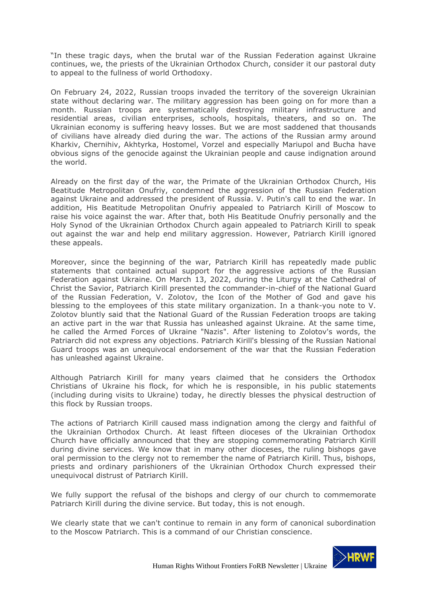"In these tragic days, when the brutal war of the Russian Federation against Ukraine continues, we, the priests of the Ukrainian Orthodox Church, consider it our pastoral duty to appeal to the fullness of world Orthodoxy.

On February 24, 2022, Russian troops invaded the territory of the sovereign Ukrainian state without declaring war. The military aggression has been going on for more than a month. Russian troops are systematically destroying military infrastructure and residential areas, civilian enterprises, schools, hospitals, theaters, and so on. The Ukrainian economy is suffering heavy losses. But we are most saddened that thousands of civilians have already died during the war. The actions of the Russian army around Kharkiv, Chernihiv, Akhtyrka, Hostomel, Vorzel and especially Mariupol and Bucha have obvious signs of the genocide against the Ukrainian people and cause indignation around the world.

Already on the first day of the war, the Primate of the Ukrainian Orthodox Church, His Beatitude Metropolitan Onufriy, condemned the aggression of the Russian Federation against Ukraine and addressed the president of Russia. V. Putin's call to end the war. In addition, His Beatitude Metropolitan Onufriy appealed to Patriarch Kirill of Moscow to raise his voice against the war. After that, both His Beatitude Onufriy personally and the Holy Synod of the Ukrainian Orthodox Church again appealed to Patriarch Kirill to speak out against the war and help end military aggression. However, Patriarch Kirill ignored these appeals.

Moreover, since the beginning of the war, Patriarch Kirill has repeatedly made public statements that contained actual support for the aggressive actions of the Russian Federation against Ukraine. On March 13, 2022, during the Liturgy at the Cathedral of Christ the Savior, Patriarch Kirill presented the commander-in-chief of the National Guard of the Russian Federation, V. Zolotov, the Icon of the Mother of God and gave his blessing to the employees of this state military organization. In a thank-you note to V. Zolotov bluntly said that the National Guard of the Russian Federation troops are taking an active part in the war that Russia has unleashed against Ukraine. At the same time, he called the Armed Forces of Ukraine "Nazis". After listening to Zolotov's words, the Patriarch did not express any objections. Patriarch Kirill's blessing of the Russian National Guard troops was an unequivocal endorsement of the war that the Russian Federation has unleashed against Ukraine.

Although Patriarch Kirill for many years claimed that he considers the Orthodox Christians of Ukraine his flock, for which he is responsible, in his public statements (including during visits to Ukraine) today, he directly blesses the physical destruction of this flock by Russian troops.

The actions of Patriarch Kirill caused mass indignation among the clergy and faithful of the Ukrainian Orthodox Church. At least fifteen dioceses of the Ukrainian Orthodox Church have officially announced that they are stopping commemorating Patriarch Kirill during divine services. We know that in many other dioceses, the ruling bishops gave oral permission to the clergy not to remember the name of Patriarch Kirill. Thus, bishops, priests and ordinary parishioners of the Ukrainian Orthodox Church expressed their unequivocal distrust of Patriarch Kirill.

We fully support the refusal of the bishops and clergy of our church to commemorate Patriarch Kirill during the divine service. But today, this is not enough.

We clearly state that we can't continue to remain in any form of canonical subordination to the Moscow Patriarch. This is a command of our Christian conscience.

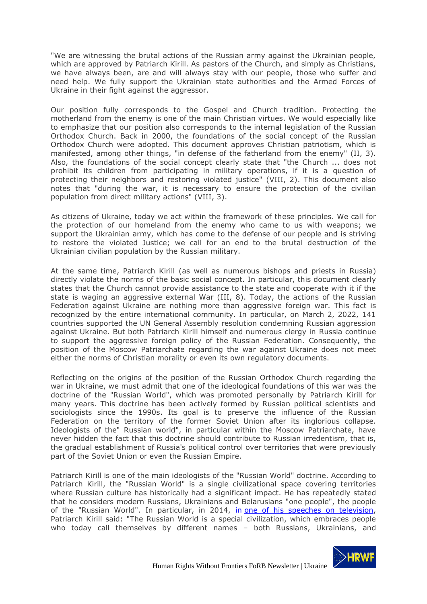"We are witnessing the brutal actions of the Russian army against the Ukrainian people, which are approved by Patriarch Kirill. As pastors of the Church, and simply as Christians, we have always been, are and will always stay with our people, those who suffer and need help. We fully support the Ukrainian state authorities and the Armed Forces of Ukraine in their fight against the aggressor.

Our position fully corresponds to the Gospel and Church tradition. Protecting the motherland from the enemy is one of the main Christian virtues. We would especially like to emphasize that our position also corresponds to the internal legislation of the Russian Orthodox Church. Back in 2000, the foundations of the social concept of the Russian Orthodox Church were adopted. This document approves Christian patriotism, which is manifested, among other things, "in defense of the fatherland from the enemy" (II, 3). Also, the foundations of the social concept clearly state that "the Church ... does not prohibit its children from participating in military operations, if it is a question of protecting their neighbors and restoring violated justice" (VIII, 2). This document also notes that "during the war, it is necessary to ensure the protection of the civilian population from direct military actions" (VIII, 3).

As citizens of Ukraine, today we act within the framework of these principles. We call for the protection of our homeland from the enemy who came to us with weapons; we support the Ukrainian army, which has come to the defense of our people and is striving to restore the violated Justice; we call for an end to the brutal destruction of the Ukrainian civilian population by the Russian military.

At the same time, Patriarch Kirill (as well as numerous bishops and priests in Russia) directly violate the norms of the basic social concept. In particular, this document clearly states that the Church cannot provide assistance to the state and cooperate with it if the state is waging an aggressive external War (III, 8). Today, the actions of the Russian Federation against Ukraine are nothing more than aggressive foreign war. This fact is recognized by the entire international community. In particular, on March 2, 2022, 141 countries supported the UN General Assembly resolution condemning Russian aggression against Ukraine. But both Patriarch Kirill himself and numerous clergy in Russia continue to support the aggressive foreign policy of the Russian Federation. Consequently, the position of the Moscow Patriarchate regarding the war against Ukraine does not meet either the norms of Christian morality or even its own regulatory documents.

Reflecting on the origins of the position of the Russian Orthodox Church regarding the war in Ukraine, we must admit that one of the ideological foundations of this war was the doctrine of the "Russian World", which was promoted personally by Patriarch Kirill for many years. This doctrine has been actively formed by Russian political scientists and sociologists since the 1990s. Its goal is to preserve the influence of the Russian Federation on the territory of the former Soviet Union after its inglorious collapse. Ideologists of the" Russian world", in particular within the Moscow Patriarchate, have never hidden the fact that this doctrine should contribute to Russian irredentism, that is, the gradual establishment of Russia's political control over territories that were previously part of the Soviet Union or even the Russian Empire.

Patriarch Kirill is one of the main ideologists of the "Russian World" doctrine. According to Patriarch Kirill, the "Russian World" is a single civilizational space covering territories where Russian culture has historically had a significant impact. He has repeatedly stated that he considers modern Russians, Ukrainians and Belarusians "one people", the people of the "Russian World". In particular, in 2014, in one of his speeches on [television,](http://www.patriarchia.ru/db/text/3730705.html) Patriarch Kirill said: "The Russian World is a special civilization, which embraces people who today call themselves by different names - both Russians, Ukrainians, and

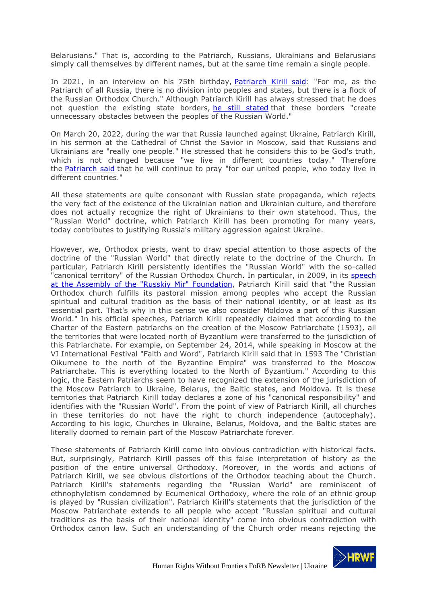Belarusians." That is, according to the Patriarch, Russians, Ukrainians and Belarusians simply call themselves by different names, but at the same time remain a single people.

In 2021, in an interview on his 75th birthday, [Patriarch](http://www.patriarchia.ru/db/text/5863267.html) Kirill said: "For me, as the Patriarch of all Russia, there is no division into peoples and states, but there is a flock of the Russian Orthodox Church." Although Patriarch Kirill has always stressed that he does not question the existing state borders, he still [stated](http://www.patriarchia.ru/db/text/928446.html) that these borders "create unnecessary obstacles between the peoples of the Russian World."

On March 20, 2022, during the war that Russia launched against Ukraine, Patriarch Kirill, in his sermon at the Cathedral of Christ the Savior in Moscow, said that Russians and Ukrainians are "really one people." He stressed that he considers this to be God's truth, which is not changed because "we live in different countries today." Therefore the [Patriarch](http://www.patriarchia.ru/db/text/5909901.html) said that he will continue to pray "for our united people, who today live in different countries."

All these statements are quite consonant with Russian state propaganda, which rejects the very fact of the existence of the Ukrainian nation and Ukrainian culture, and therefore does not actually recognize the right of Ukrainians to their own statehood. Thus, the "Russian World" doctrine, which Patriarch Kirill has been promoting for many years, today contributes to justifying Russia's military aggression against Ukraine.

However, we, Orthodox priests, want to draw special attention to those aspects of the doctrine of the "Russian World" that directly relate to the doctrine of the Church. In particular, Patriarch Kirill persistently identifies the "Russian World" with the so-called "canonical territory" of the Russian Orthodox Church. In particular, in 2009, in its [speech](http://www.patriarchia.ru/db/text/928446.html) at the Assembly of the "Russkiy Mir" [Foundation,](http://www.patriarchia.ru/db/text/928446.html) Patriarch Kirill said that "the Russian Orthodox church fulfills its pastoral mission among peoples who accept the Russian spiritual and cultural tradition as the basis of their national identity, or at least as its essential part. That's why in this sense we also consider Moldova a part of this Russian World." In his official speeches, Patriarch Kirill repeatedly claimed that according to the Charter of the Eastern patriarchs on the creation of the Moscow Patriarchate (1593), all the territories that were located north of Byzantium were transferred to the jurisdiction of this Patriarchate. For example, on September 24, 2014, while speaking in Moscow at the VI International Festival "Faith and Word", Patriarch Kirill said that in 1593 The "Christian Oikumene to the north of the Byzantine Empire" was transferred to the Moscow Patriarchate. This is everything located to the North of Byzantium." According to this logic, the Eastern Patriarchs seem to have recognized the extension of the jurisdiction of the Moscow Patriarch to Ukraine, Belarus, the Baltic states, and Moldova. It is these territories that Patriarch Kirill today declares a zone of his "canonical responsibility" and identifies with the "Russian World". From the point of view of Patriarch Kirill, all churches in these territories do not have the right to church independence (autocephaly). According to his logic, Churches in Ukraine, Belarus, Moldova, and the Baltic states are literally doomed to remain part of the Moscow Patriarchate forever.

These statements of Patriarch Kirill come into obvious contradiction with historical facts. But, surprisingly, Patriarch Kirill passes off this false interpretation of history as the position of the entire universal Orthodoxy. Moreover, in the words and actions of Patriarch Kirill, we see obvious distortions of the Orthodox teaching about the Church. Patriarch Kirill's statements regarding the "Russian World" are reminiscent of ethnophyletism condemned by Ecumenical Orthodoxy, where the role of an ethnic group is played by "Russian civilization". Patriarch Kirill's statements that the jurisdiction of the Moscow Patriarchate extends to all people who accept "Russian spiritual and cultural traditions as the basis of their national identity" come into obvious contradiction with Orthodox canon law. Such an understanding of the Church order means rejecting the

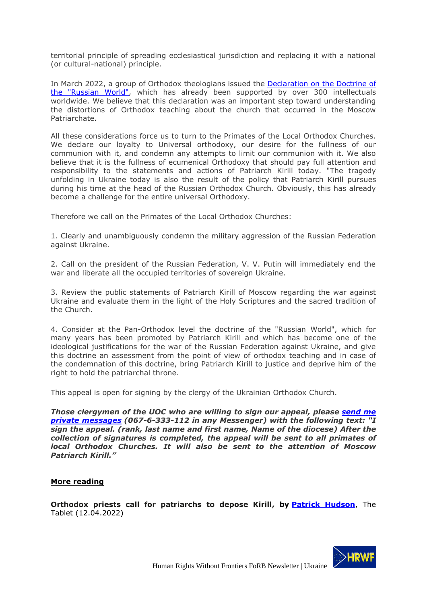territorial principle of spreading ecclesiastical jurisdiction and replacing it with a national (or cultural-national) principle.

In March 2022, a group of Orthodox theologians issued the [Declaration](https://risu.ua/pravoslavni-bogoslovi-svitu-zasudili-yeres-russkogo-mira-i-ganebni-diyi-rosijskoyi-vladi_n127240) on the Doctrine of the ["Russian](https://risu.ua/pravoslavni-bogoslovi-svitu-zasudili-yeres-russkogo-mira-i-ganebni-diyi-rosijskoyi-vladi_n127240) World", which has already been supported by over 300 intellectuals worldwide. We believe that this declaration was an important step toward understanding the distortions of Orthodox teaching about the church that occurred in the Moscow Patriarchate.

All these considerations force us to turn to the Primates of the Local Orthodox Churches. We declare our loyalty to Universal orthodoxy, our desire for the fullness of our communion with it, and condemn any attempts to limit our communion with it. We also believe that it is the fullness of ecumenical Orthodoxy that should pay full attention and responsibility to the statements and actions of Patriarch Kirill today. "The tragedy unfolding in Ukraine today is also the result of the policy that Patriarch Kirill pursues during his time at the head of the Russian Orthodox Church. Obviously, this has already become a challenge for the entire universal Orthodoxy.

Therefore we call on the Primates of the Local Orthodox Churches:

1. Clearly and unambiguously condemn the military aggression of the Russian Federation against Ukraine.

2. Call on the president of the Russian Federation, V. V. Putin will immediately end the war and liberate all the occupied territories of sovereign Ukraine.

3. Review the public statements of Patriarch Kirill of Moscow regarding the war against Ukraine and evaluate them in the light of the Holy Scriptures and the sacred tradition of the Church.

4. Consider at the Pan-Orthodox level the doctrine of the "Russian World", which for many years has been promoted by Patriarch Kirill and which has become one of the ideological justifications for the war of the Russian Federation against Ukraine, and give this doctrine an assessment from the point of view of orthodox teaching and in case of the condemnation of this doctrine, bring Patriarch Kirill to justice and deprive him of the right to hold the patriarchal throne.

This appeal is open for signing by the clergy of the Ukrainian Orthodox Church.

*Those clergymen of the UOC who are willing to sign our appeal, please [send](https://www.facebook.com/profile.php?id=100001981718431) me private [messages](https://www.facebook.com/profile.php?id=100001981718431) (067-6-333-112 in any Messenger) with the following text: "I sign the appeal. (rank, last name and first name, Name of the diocese) After the collection of signatures is completed, the appeal will be sent to all primates of local Orthodox Churches. It will also be sent to the attention of Moscow Patriarch Kirill."*

#### **More reading**

**Orthodox priests call for patriarchs to depose Kirill, by [Patrick Hudson](https://www.thetablet.co.uk/author/842/patrick-hudson)**, The Tablet (12.04.2022)

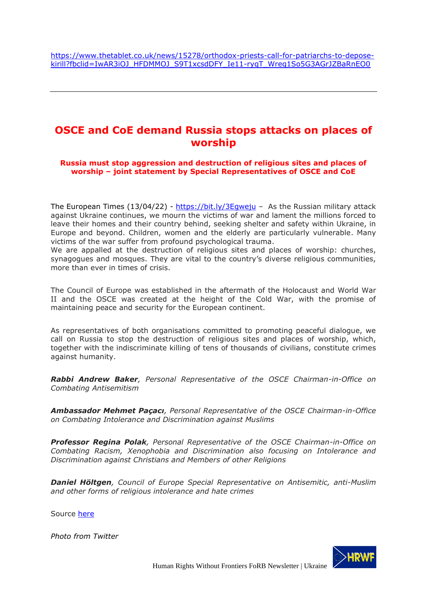# <span id="page-17-0"></span>**OSCE and CoE demand Russia stops attacks on places of worship**

**Russia must stop aggression and destruction of religious sites and places of worship – joint statement by Special Representatives of OSCE and CoE**

The European Times  $(13/04/22)$  - <https://bit.ly/3Egweju> - As the Russian military attack against Ukraine continues, we mourn the victims of war and lament the millions forced to leave their homes and their country behind, seeking shelter and safety within Ukraine, in Europe and beyond. Children, women and the elderly are particularly vulnerable. Many victims of the war suffer from profound psychological trauma.

We are appalled at the destruction of religious sites and places of worship: churches, synagogues and mosques. They are vital to the country's diverse religious communities, more than ever in times of crisis.

The Council of Europe was established in the aftermath of the Holocaust and World War II and the OSCE was created at the height of the Cold War, with the promise of maintaining peace and security for the European continent.

As representatives of both organisations committed to promoting peaceful dialogue, we call on Russia to stop the destruction of religious sites and places of worship, which, together with the indiscriminate killing of tens of thousands of civilians, constitute crimes against humanity.

*Rabbi Andrew Baker, Personal Representative of the OSCE Chairman-in-Office on Combating Antisemitism*

*Ambassador Mehmet Paçacı, Personal Representative of the OSCE Chairman-in-Office on Combating Intolerance and Discrimination against Muslims*

*Professor Regina Polak, Personal Representative of the OSCE Chairman-in-Office on Combating Racism, Xenophobia and Discrimination also focusing on Intolerance and Discrimination against Christians and Members of other Religions*

*Daniel Höltgen, Council of Europe Special Representative on Antisemitic, anti-Muslim and other forms of religious intolerance and hate crimes*

Source [here](https://www.osce.org/chairmanship/515943)

*Photo from Twitter*

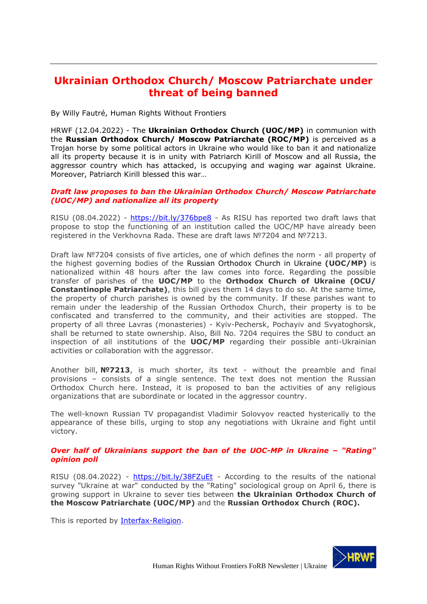# <span id="page-18-0"></span>**Ukrainian Orthodox Church/ Moscow Patriarchate under threat of being banned**

By Willy Fautré, Human Rights Without Frontiers

HRWF (12.04.2022) - The **Ukrainian Orthodox Church (UOC/MP)** in communion with the **Russian Orthodox Church/ Moscow Patriarchate (ROC/MP)** is perceived as a Trojan horse by some political actors in Ukraine who would like to ban it and nationalize all its property because it is in unity with Patriarch Kirill of Moscow and all Russia, the aggressor country which has attacked, is occupying and waging war against Ukraine. Moreover, Patriarch Kirill blessed this war…

### *Draft law proposes to ban the Ukrainian Orthodox Church/ Moscow Patriarchate (UOC/MP) and nationalize all its property*

RISU (08.04.2022) - <https://bit.ly/376bpe8> - As RISU has reported two draft laws that propose to stop the functioning of an institution called the UOC/MP have already been registered in the Verkhovna Rada. These are draft laws №7204 and №7213.

Draft law №7204 consists of five articles, one of which defines the norm - all property of the highest governing bodies of the Russian Orthodox Church in Ukraine **(UOC/MP)** is nationalized within 48 hours after the law comes into force. Regarding the possible transfer of parishes of the **UOC/MP** to the **Orthodox Church of Ukraine (OCU/ Constantinople Patriarchate)**, this bill gives them 14 days to do so. At the same time, the property of church parishes is owned by the community. If these parishes want to remain under the leadership of the Russian Orthodox Church, their property is to be confiscated and transferred to the community, and their activities are stopped. The property of all three Lavras (monasteries) - Kyiv-Pechersk, Pochayiv and Svyatoghorsk, shall be returned to state ownership. Also, Bill No. 7204 requires the SBU to conduct an inspection of all institutions of the **UOC/MP** regarding their possible anti-Ukrainian activities or collaboration with the aggressor.

Another bill, **№7213**, is much shorter, its text - without the preamble and final provisions – consists of a single sentence. The text does not mention the Russian Orthodox Church here. Instead, it is proposed to ban the activities of any religious organizations that are subordinate or located in the aggressor country.

The well-known Russian TV propagandist Vladimir Solovyov reacted hysterically to the appearance of these bills, urging to stop any negotiations with Ukraine and fight until victory.

#### *Over half of Ukrainians support the ban of the UOC-MP in Ukraine – "Rating" opinion poll*

RISU (08.04.2022) - <https://bit.ly/38FZuEt> - According to the results of the national survey "Ukraine at war" conducted by the "Rating" sociological group on April 6, there is growing support in Ukraine to sever ties between **the Ukrainian Orthodox Church of the Moscow Patriarchate (UOC/MP)** and the **Russian Orthodox Church (ROC).**

This is reported by **Interfax-Religion**.

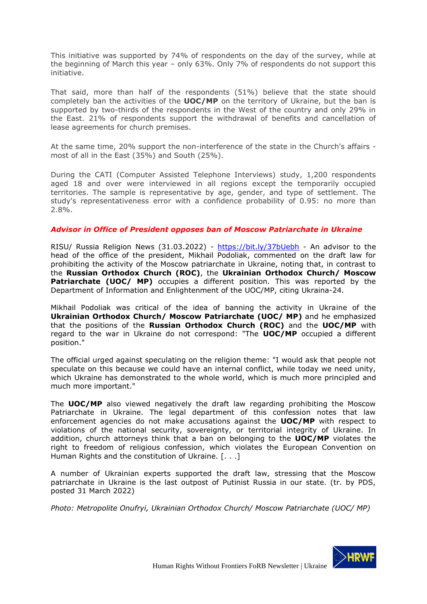This initiative was supported by 74% of respondents on the day of the survey, while at the beginning of March this year – only 63%. Only 7% of respondents do not support this initiative.

That said, more than half of the respondents (51%) believe that the state should completely ban the activities of the **UOC/MP** on the territory of Ukraine, but the ban is supported by two-thirds of the respondents in the West of the country and only 29% in the East. 21% of respondents support the withdrawal of benefits and cancellation of lease agreements for church premises.

At the same time, 20% support the non-interference of the state in the Church's affairs most of all in the East (35%) and South (25%).

During the CATI (Computer Assisted Telephone Interviews) study, 1,200 respondents aged 18 and over were interviewed in all regions except the temporarily occupied territories. The sample is representative by age, gender, and type of settlement. The study's representativeness error with a confidence probability of 0.95: no more than 2.8%.

#### *Advisor in Office of President opposes ban of Moscow Patriarchate in Ukraine*

RISU/ Russia Religion News (31.03.2022) - <https://bit.ly/37bUebh> - An advisor to the head of the office of the president, Mikhail Podoliak, commented on the draft law for prohibiting the activity of the Moscow patriarchate in Ukraine, noting that, in contrast to the **Russian Orthodox Church (ROC)**, the **Ukrainian Orthodox Church/ Moscow Patriarchate (UOC/ MP)** occupies a different position. This was reported by the Department of Information and Enlightenment of the UOC/MP, citing Ukraina-24.

Mikhail Podoliak was critical of the idea of banning the activity in Ukraine of the **Ukrainian Orthodox Church/ Moscow Patriarchate (UOC/ MP)** and he emphasized that the positions of the **Russian Orthodox Church (ROC)** and the **UOC/MP** with regard to the war in Ukraine do not correspond: "The **UOC/MP** occupied a different position."

The official urged against speculating on the religion theme: "I would ask that people not speculate on this because we could have an internal conflict, while today we need unity, which Ukraine has demonstrated to the whole world, which is much more principled and much more important."

The **UOC/MP** also viewed negatively the draft law regarding prohibiting the Moscow Patriarchate in Ukraine. The legal department of this confession notes that law enforcement agencies do not make accusations against the **UOC/MP** with respect to violations of the national security, sovereignty, or territorial integrity of Ukraine. In addition, church attorneys think that a ban on belonging to the **UOC/MP** violates the right to freedom of religious confession, which violates the European Convention on Human Rights and the constitution of Ukraine. [. . .]

A number of Ukrainian experts supported the draft law, stressing that the Moscow patriarchate in Ukraine is the last outpost of Putinist Russia in our state. (tr. by PDS, posted 31 March 2022)

*Photo: Metropolite Onufryi, Ukrainian Orthodox Church/ Moscow Patriarchate (UOC/ MP)*

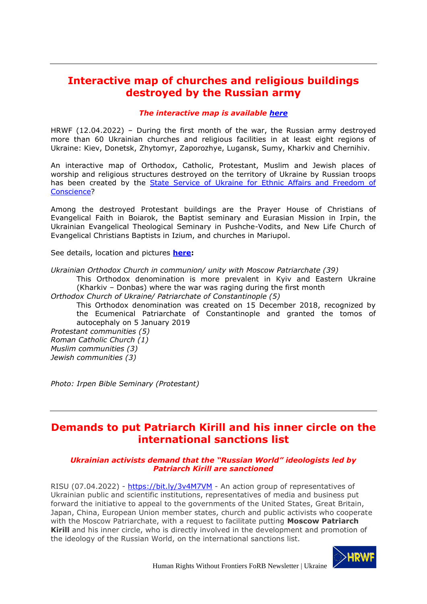# <span id="page-20-0"></span>**Interactive map of churches and religious buildings destroyed by the Russian army**

### *The interactive map is available [here](https://www.google.com/maps/d/u/0/viewer?mid=1KeG6j5kmZbssWiejfabf1z3vEwt4Lztw&fbclid=IwAR1w2D012B1BSj5Uj-ab9Magw9ahICrmXsHmf228I7Gnr9A2Y3RE5c5Kwow&ll=50.57097207894431%2C30.507079797473924&z=10)*

HRWF (12.04.2022) – During the first month of the war, the Russian army destroyed more than 60 Ukrainian churches and religious facilities in at least eight regions of Ukraine: Kiev, Donetsk, Zhytomyr, Zaporozhye, Lugansk, Sumy, Kharkiv and Chernihiv.

An interactive map of Orthodox, Catholic, Protestant, Muslim and Jewish places of worship and religious structures destroyed on the territory of Ukraine by Russian troops has been created by the **State Service of Ukraine for Ethnic Affairs and Freedom of** [Conscience?](https://dess.gov.ua/)

Among the destroyed Protestant buildings are the Prayer House of Christians of Evangelical Faith in Boiarok, the Baptist seminary and Eurasian Mission in Irpin, the Ukrainian Evangelical Theological Seminary in Pushche-Vodits, and New Life Church of Evangelical Christians Baptists in Izium, and churches in Mariupol.

See details, location and pictures **[here:](https://www.google.com/maps/d/u/0/viewer?mid=1KeG6j5kmZbssWiejfabf1z3vEwt4Lztw&fbclid=IwAR1w2D012B1BSj5Uj-ab9Magw9ahICrmXsHmf228I7Gnr9A2Y3RE5c5Kwow&ll=47.563850691682376%2C37.29274133739118&z=9)**

*Ukrainian Orthodox Church in communion/ unity with Moscow Patriarchate (39)*

This Orthodox denomination is more prevalent in Kyiv and Eastern Ukraine (Kharkiv – Donbas) where the war was raging during the first month

*Orthodox Church of Ukraine/ Patriarchate of Constantinople (5)*

This Orthodox denomination was created on 15 December 2018, recognized by the Ecumenical Patriarchate of Constantinople and granted the tomos of autocephaly on 5 January 2019

*Protestant communities (5) Roman Catholic Church (1) Muslim communities (3) Jewish communities (3)*

*Photo: Irpen Bible Seminary (Protestant)*

# <span id="page-20-1"></span>**Demands to put Patriarch Kirill and his inner circle on the international sanctions list**

## *Ukrainian activists demand that the "Russian World" ideologists led by Patriarch Kirill are sanctioned*

RISU (07.04.2022) - <https://bit.ly/3v4M7VM> - An action group of representatives of Ukrainian public and scientific institutions, representatives of media and business put forward the initiative to appeal to the governments of the United States, Great Britain, Japan, China, European Union member states, church and public activists who cooperate with the Moscow Patriarchate, with a request to facilitate putting **Moscow Patriarch Kirill** and his inner circle, who is directly involved in the development and promotion of the ideology of the Russian World, on the international sanctions list.

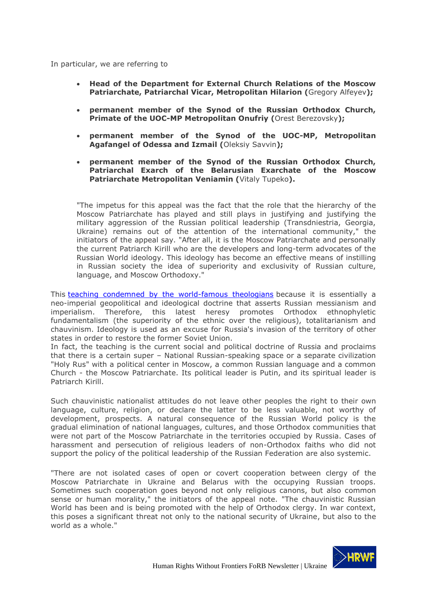In particular, we are referring to

- **Head of the Department for External Church Relations of the Moscow Patriarchate, Patriarchal Vicar, Metropolitan Hilarion (**Gregory Alfeyev**);**
- **permanent member of the Synod of the Russian Orthodox Church, Primate of the UOC-MP Metropolitan Onufriy (**Orest Berezovsky**);**
- **permanent member of the Synod of the UOC-MP, Metropolitan Agafangel of Odessa and Izmail (**Oleksiy Savvin**);**
- **permanent member of the Synod of the Russian Orthodox Church, Patriarchal Exarch of the Belarusian Exarchate of the Moscow Patriarchate Metropolitan Veniamin (**Vitaly Tupeko**).**

"The impetus for this appeal was the fact that the role that the hierarchy of the Moscow Patriarchate has played and still plays in justifying and justifying the military aggression of the Russian political leadership (Transdniestria, Georgia, Ukraine) remains out of the attention of the international community," the initiators of the appeal say. "After all, it is the Moscow Patriarchate and personally the current Patriarch Kirill who are the developers and long-term advocates of the Russian World ideology. This ideology has become an effective means of instilling in Russian society the idea of superiority and exclusivity of Russian culture, language, and Moscow Orthodoxy."

This teaching condemned by the [world-famous](https://risu.ua/deklaraciya-pravoslavnih-bogosloviv-svitu-pro-russkij-mir_n127230) theologians because it is essentially a neo-imperial geopolitical and ideological doctrine that asserts Russian messianism and imperialism. Therefore, this latest heresy promotes Orthodox ethnophyletic fundamentalism (the superiority of the ethnic over the religious), totalitarianism and chauvinism. Ideology is used as an excuse for Russia's invasion of the territory of other states in order to restore the former Soviet Union.

In fact, the teaching is the current social and political doctrine of Russia and proclaims that there is a certain super – National Russian-speaking space or a separate civilization "Holy Rus" with a political center in Moscow, a common Russian language and a common Church - the Moscow Patriarchate. Its political leader is Putin, and its spiritual leader is Patriarch Kirill.

Such chauvinistic nationalist attitudes do not leave other peoples the right to their own language, culture, religion, or declare the latter to be less valuable, not worthy of development, prospects. A natural consequence of the Russian World policy is the gradual elimination of national languages, cultures, and those Orthodox communities that were not part of the Moscow Patriarchate in the territories occupied by Russia. Cases of harassment and persecution of religious leaders of non-Orthodox faiths who did not support the policy of the political leadership of the Russian Federation are also systemic.

"There are not isolated cases of open or covert cooperation between clergy of the Moscow Patriarchate in Ukraine and Belarus with the occupying Russian troops. Sometimes such cooperation goes beyond not only religious canons, but also common sense or human morality," the initiators of the appeal note. "The chauvinistic Russian World has been and is being promoted with the help of Orthodox clergy. In war context, this poses a significant threat not only to the national security of Ukraine, but also to the world as a whole."

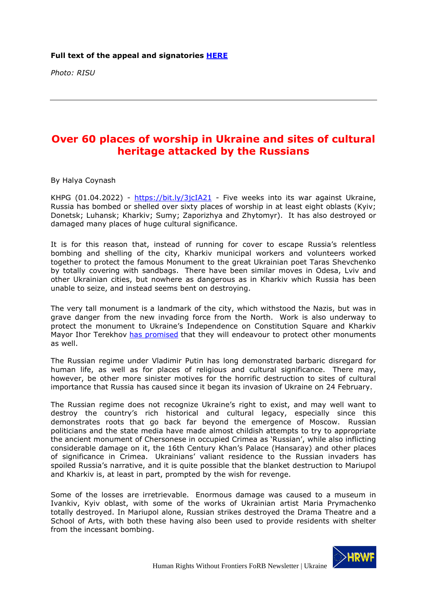*Photo: RISU*

# <span id="page-22-0"></span>**Over 60 places of worship in Ukraine and sites of cultural heritage attacked by the Russians**

By Halya Coynash

KHPG  $(01.04.2022)$  - <https://bit.ly/3jcIA21> - Five weeks into its war against Ukraine, Russia has bombed or shelled over sixty places of worship in at least eight oblasts (Kyiv; Donetsk; Luhansk; Kharkiv; Sumy; Zaporizhya and Zhytomyr). It has also destroyed or damaged many places of huge cultural significance.

It is for this reason that, instead of running for cover to escape Russia's relentless bombing and shelling of the city, Kharkiv municipal workers and volunteers worked together to protect the famous Monument to the great Ukrainian poet Taras Shevchenko by totally covering with sandbags. There have been similar moves in Odesa, Lviv and other Ukrainian cities, but nowhere as dangerous as in Kharkiv which Russia has been unable to seize, and instead seems bent on destroying.

The very tall monument is a landmark of the city, which withstood the Nazis, but was in grave danger from the new invading force from the North. Work is also underway to protect the monument to Ukraine's Independence on Constitution Square and Kharkiv Mayor Ihor Terekhov has [promised](https://t.me/objectivetv/15053) that they will endeavour to protect other monuments as well.

The Russian regime under Vladimir Putin has long demonstrated barbaric disregard for human life, as well as for places of religious and cultural significance. There may, however, be other more sinister motives for the horrific destruction to sites of cultural importance that Russia has caused since it began its invasion of Ukraine on 24 February.

The Russian regime does not recognize Ukraine's right to exist, and may well want to destroy the country's rich historical and cultural legacy, especially since this demonstrates roots that go back far beyond the emergence of Moscow. Russian politicians and the state media have made almost childish attempts to try to appropriate the ancient monument of Chersonese in occupied Crimea as 'Russian', while also inflicting considerable damage on it, the 16th Century Khan's Palace (Hansaray) and other places of significance in Crimea. Ukrainians' valiant residence to the Russian invaders has spoiled Russia's narrative, and it is quite possible that the blanket destruction to Mariupol and Kharkiv is, at least in part, prompted by the wish for revenge.

Some of the losses are irretrievable. Enormous damage was caused to a museum in Ivankiv, Kyiv oblast, with some of the works of Ukrainian artist Maria Prymachenko totally destroyed. In Mariupol alone, Russian strikes destroyed the Drama Theatre and a School of Arts, with both these having also been used to provide residents with shelter from the incessant bombing.

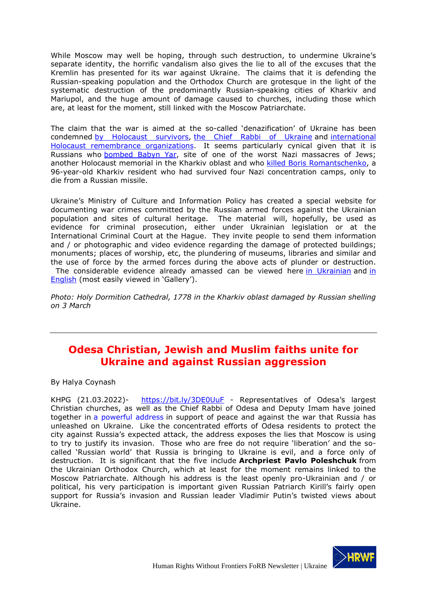While Moscow may well be hoping, through such destruction, to undermine Ukraine's separate identity, the horrific vandalism also gives the lie to all of the excuses that the Kremlin has presented for its war against Ukraine. The claims that it is defending the Russian-speaking population and the Orthodox Church are grotesque in the light of the systematic destruction of the predominantly Russian-speaking cities of Kharkiv and Mariupol, and the huge amount of damage caused to churches, including those which are, at least for the moment, still linked with the Moscow Patriarchate.

The claim that the war is aimed at the so-called 'denazification' of Ukraine has been condemned by [Holocaust](https://khpg.org/en/1608810158) survivors, the Chief Rabbi of [Ukraine](https://khpg.org/en/1608810144) and [international](https://khpg.org/en/1608810248) Holocaust remembrance [organizations.](https://khpg.org/en/1608810248) It seems particularly cynical given that it is Russians who [bombed](https://khpg.org/en/1608810149) Babyn Yar, site of one of the worst Nazi massacres of Jews; another Holocaust memorial in the Kharkiv oblast and who killed Boris [Romantschenko,](https://khpg.org/en/1608810248) a 96-year-old Kharkiv resident who had survived four Nazi concentration camps, only to die from a Russian missile.

Ukraine's Ministry of Culture and Information Policy has created a special website for documenting war crimes committed by the Russian armed forces against the Ukrainian population and sites of cultural heritage. The material will, hopefully, be used as evidence for criminal prosecution, either under Ukrainian legislation or at the International Criminal Court at the Hague. They invite people to send them information and / or photographic and video evidence regarding the damage of protected buildings; monuments; places of worship, etc, the plundering of museums, libraries and similar and the use of force by the armed forces during the above acts of plunder or destruction. The considerable evidence already amassed can be viewed here in [Ukrainian](https://mkip.notion.site/mkip/7be52d2803994651a23a220a8ed85f1c?v=6ea517f19a8944f9a902a50156656eea) and [in](https://mkip.notion.site/mkip/e9a4dfe6aa284de38673efedbe147b51?v=f43ac8780f2543a18f5c8f45afdce5f7)

[English](https://mkip.notion.site/mkip/e9a4dfe6aa284de38673efedbe147b51?v=f43ac8780f2543a18f5c8f45afdce5f7) (most easily viewed in 'Gallery').

*Photo: Holy Dormition Cathedral, 1778 in the Kharkiv oblast damaged by Russian shelling on 3 March*

# <span id="page-23-0"></span>**Odesa Christian, Jewish and Muslim faiths unite for Ukraine and against Russian aggression**

By Halya Coynash

KHPG (21.03.2022)- <https://bit.ly/3DE0UuF> - Representatives of Odesa's largest Christian churches, as well as the Chief Rabbi of Odesa and Deputy Imam have joined together in [a powerful address](https://www.youtube.com/watch?v=cCyseJyAbdg&t=18s) in support of peace and against the war that Russia has unleashed on Ukraine. Like the concentrated efforts of Odesa residents to protect the city against Russia's expected attack, the address exposes the lies that Moscow is using to try to justify its invasion. Those who are free do not require 'liberation' and the socalled 'Russian world' that Russia is bringing to Ukraine is evil, and a force only of destruction. It is significant that the five include **Archpriest Pavlo Poleshchuk** from the Ukrainian Orthodox Church, which at least for the moment remains linked to the Moscow Patriarchate. Although his address is the least openly pro-Ukrainian and / or political, his very participation is important given Russian Patriarch Kirill's fairly open support for Russia's invasion and Russian leader Vladimir Putin's twisted views about Ukraine.

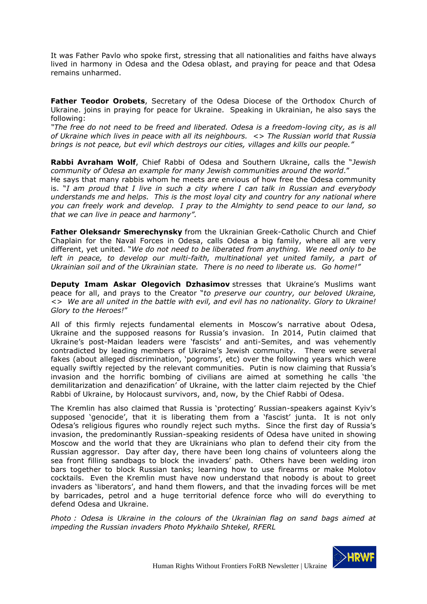It was Father Pavlo who spoke first, stressing that all nationalities and faiths have always lived in harmony in Odesa and the Odesa oblast, and praying for peace and that Odesa remains unharmed.

**Father Teodor Orobets**, Secretary of the Odesa Diocese of the Orthodox Church of Ukraine. joins in praying for peace for Ukraine. Speaking in Ukrainian, he also says the following:

*"The free do not need to be freed and liberated. Odesa is a freedom-loving city, as is all of Ukraine which lives in peace with all its neighbours. <> The Russian world that Russia brings is not peace, but evil which destroys our cities, villages and kills our people."*

**Rabbi Avraham Wolf**, Chief Rabbi of Odesa and Southern Ukraine, calls the "*Jewish community of Odesa an example for many Jewish communities around the world*."

He says that many rabbis whom he meets are envious of how free the Odesa community is. "*I am proud that I live in such a city where I can talk in Russian and everybody understands me and helps. This is the most loyal city and country for any national where you can freely work and develop. I pray to the Almighty to send peace to our land, so that we can live in peace and harmony".*

**Father Oleksandr Smerechynsky** from the Ukrainian Greek-Catholic Church and Chief Chaplain for the Naval Forces in Odesa, calls Odesa a big family, where all are very different, yet united. "*We do not need to be liberated from anything. We need only to be left in peace, to develop our multi-faith, multinational yet united family, a part of Ukrainian soil and of the Ukrainian state. There is no need to liberate us. Go home!"*

**Deputy Imam Askar Olegovich Dzhasimov** stresses that Ukraine's Muslims want peace for all, and prays to the Creator "*to preserve our country, our beloved Ukraine, <> We are all united in the battle with evil, and evil has no nationality. Glory to Ukraine! Glory to the Heroes!*"

All of this firmly rejects fundamental elements in Moscow's narrative about Odesa, Ukraine and the supposed reasons for Russia's invasion. In 2014, Putin claimed that Ukraine's post-Maidan leaders were 'fascists' and anti-Semites, and was vehemently contradicted by leading members of Ukraine's Jewish community. There were several fakes (about alleged discrimination, 'pogroms', etc) over the following years which were equally swiftly rejected by the relevant communities. Putin is now claiming that Russia's invasion and the horrific bombing of civilians are aimed at something he calls 'the demilitarization and denazification' of Ukraine, with the latter claim rejected by the Chief Rabbi of Ukraine, by Holocaust survivors, and, now, by the Chief Rabbi of Odesa.

The Kremlin has also claimed that Russia is 'protecting' Russian-speakers against Kyiv's supposed 'genocide', that it is liberating them from a 'fascist' junta. It is not only Odesa's religious figures who roundly reject such myths. Since the first day of Russia's invasion, the predominantly Russian-speaking residents of Odesa have united in showing Moscow and the world that they are Ukrainians who plan to defend their city from the Russian aggressor. Day after day, there have been long chains of volunteers along the sea front filling sandbags to block the invaders' path. Others have been welding iron bars together to block Russian tanks; learning how to use firearms or make Molotov cocktails. Even the Kremlin must have now understand that nobody is about to greet invaders as 'liberators', and hand them flowers, and that the invading forces will be met by barricades, petrol and a huge territorial defence force who will do everything to defend Odesa and Ukraine.

*Photo : Odesa is Ukraine in the colours of the Ukrainian flag on sand bags aimed at impeding the Russian invaders Photo Mykhailo Shtekel, RFERL*

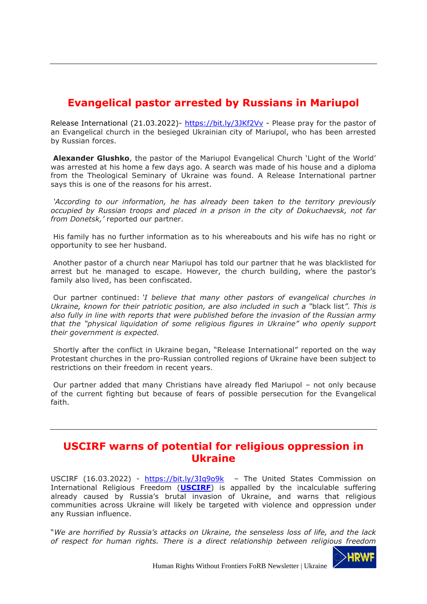# <span id="page-25-0"></span>**Evangelical pastor arrested by Russians in Mariupol**

Release International (21.03.2022)- <https://bit.ly/3JKf2Vv> - Please pray for the pastor of an Evangelical church in the besieged Ukrainian city of Mariupol, who has been arrested by Russian forces.

**Alexander Glushko**, the pastor of the Mariupol Evangelical Church 'Light of the World' was arrested at his home a few days ago. A search was made of his house and a diploma from the Theological Seminary of Ukraine was found. A Release International partner says this is one of the reasons for his arrest.

*'According to our information, he has already been taken to the territory previously occupied by Russian troops and placed in a prison in the city of Dokuchaevsk, not far from Donetsk,'* reported our partner.

His family has no further information as to his whereabouts and his wife has no right or opportunity to see her husband.

Another pastor of a church near Mariupol has told our partner that he was blacklisted for arrest but he managed to escape. However, the church building, where the pastor's family also lived, has been confiscated.

Our partner continued: *'I believe that many other pastors of evangelical churches in Ukraine, known for their patriotic position, are also included in such a "*black list*". This is also fully in line with reports that were published before the invasion of the Russian army that the "physical liquidation of some religious figures in Ukraine" who openly support their government is expected.*

Shortly after the conflict in Ukraine began, "Release International" reported on the way Protestant churches in the pro-Russian controlled regions of Ukraine have been subject to restrictions on their freedom in recent years.

Our partner added that many Christians have already fled Mariupol – not only because of the current fighting but because of fears of possible persecution for the Evangelical faith.

## <span id="page-25-1"></span>**USCIRF warns of potential for religious oppression in Ukraine**

USCIRF (16.03.2022) - <https://bit.ly/3Iq9o9k> - The United States Commission on International Religious Freedom (**[USCIRF](http://www.uscirf.gov/)**) is appalled by the incalculable suffering already caused by Russia's brutal invasion of Ukraine, and warns that religious communities across Ukraine will likely be targeted with violence and oppression under any Russian influence.

"*We are horrified by Russia's attacks on Ukraine, the senseless loss of life, and the lack of respect for human rights. There is a direct relationship between religious freedom* 

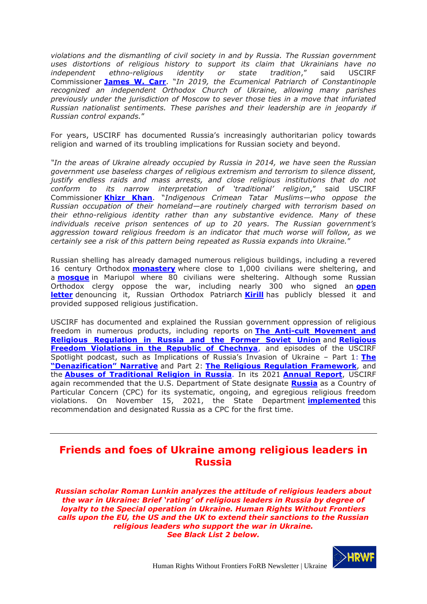*violations and the dismantling of civil society in and by Russia. The Russian government uses distortions of religious history to support its claim that Ukrainians have no independent ethno-religious identity or state tradition*," said USCIRF Commissioner **[James W. Carr](https://www.uscirf.gov/about-uscirf/commissioners/james-w-carr)**. "*In 2019, the Ecumenical Patriarch of Constantinople recognized an independent Orthodox Church of Ukraine, allowing many parishes previously under the jurisdiction of Moscow to sever those ties in a move that infuriated Russian nationalist sentiments. These parishes and their leadership are in jeopardy if Russian control expands.*"

For years, USCIRF has documented Russia's increasingly authoritarian policy towards religion and warned of its troubling implications for Russian society and beyond.

*"In the areas of Ukraine already occupied by Russia in 2014, we have seen the Russian government use baseless charges of religious extremism and terrorism to silence dissent, justify endless raids and mass arrests, and close religious institutions that do not conform to its narrow interpretation of 'traditional' religion*," said USCIRF Commissioner **[Khizr Khan](https://www.uscirf.gov/about-uscirf/commissioners/khizr-khan)**. "*Indigenous Crimean Tatar Muslims—who oppose the Russian occupation of their homeland—are routinely charged with terrorism based on their ethno-religious identity rather than any substantive evidence. Many of these individuals receive prison sentences of up to 20 years. The Russian government's aggression toward religious freedom is an indicator that much worse will follow, as we certainly see a risk of this pattern being repeated as Russia expands into Ukraine.*"

Russian shelling has already damaged numerous religious buildings, including a revered 16 century Orthodox **[monastery](https://www.nytimes.com/2022/03/13/world/europe/monastery-shelling-ukraine.html)** where close to 1,000 civilians were sheltering, and a **[mosque](https://www.npr.org/2022/03/12/1086271579/russians-shelled-a-mosque-where-80-people-were-sheltering-in-mariupol-ukraine-sa)** in Mariupol where 80 civilians were sheltering. Although some Russian Orthodox clergy oppose the war, including nearly 300 who signed an **[open](https://www.washingtonpost.com/religion/2022/03/09/eastern-orthoodox-priests-russia-denounce-invasion-ukraine-their-own-peril/) [letter](https://www.washingtonpost.com/religion/2022/03/09/eastern-orthoodox-priests-russia-denounce-invasion-ukraine-their-own-peril/)** denouncing it, Russian Orthodox Patriarch **[Kirill](https://www.reuters.com/world/europe/ukraine-invasion-splits-orthodox-church-isolates-russian-patriarch-2022-03-14/)** has publicly blessed it and provided supposed religious justification.

USCIRF has documented and explained the Russian government oppression of religious freedom in numerous products, including reports on **[The Anti-cult Movement and](https://www.uscirf.gov/sites/default/files/2020%20Anti-Cult%20Update%20-%20Religious%20Regulation%20in%20Russia%20edited.pdf)  [Religious Regulation in Russia and the Former Soviet Union](https://www.uscirf.gov/sites/default/files/2020%20Anti-Cult%20Update%20-%20Religious%20Regulation%20in%20Russia%20edited.pdf)** and **[Religious](https://www.uscirf.gov/sites/default/files/2021-10/2021%20Chechnya%20Issue%20Update.pdf)  [Freedom Violations in the Republic of Chechnya](https://www.uscirf.gov/sites/default/files/2021-10/2021%20Chechnya%20Issue%20Update.pdf)**, and episodes of the USCIRF Spotlight podcast, such as Implications of Russia's Invasion of Ukraine – Part 1: **[The](https://www.uscirf.gov/news-room/uscirf-spotlight/implications-russias-invasion-ukraine-part-1-denazification-narrative)  ["Denazification" Narrative](https://www.uscirf.gov/news-room/uscirf-spotlight/implications-russias-invasion-ukraine-part-1-denazification-narrative)** and Part 2: **[The Religious Regulation Framework](https://www.uscirf.gov/news-room/uscirf-spotlight/implications-russias-invasion-ukraine-part-2-religious-regulation)**, and the **[Abuses of Traditional Religion in Russia](https://www.uscirf.gov/news-room/uscirf-spotlight/abuses-traditional-religion-russia)**. In its 2021 **[Annual Report](https://www.uscirf.gov/sites/default/files/2021-05/Cuba%20Chapter%20AR2021.pdf)**, USCIRF again recommended that the U.S. Department of State designate **[Russia](https://www.uscirf.gov/annual-reports?country=64)** as a Country of Particular Concern (CPC) for its systematic, ongoing, and egregious religious freedom violations. On November 15, 2021, the State Department **[implemented](https://www.federalregister.gov/documents/2021/11/29/2021-25923/secretary-of-states-determinations-under-the-international-religious-freedom-act-of-1998-and-frank-r)** this recommendation and designated Russia as a CPC for the first time.

# <span id="page-26-0"></span>**Friends and foes of Ukraine among religious leaders in Russia**

*Russian scholar Roman Lunkin analyzes the attitude of religious leaders about the war in Ukraine: Brief 'rating' of religious leaders in Russia by degree of loyalty to the Special operation in Ukraine. Human Rights Without Frontiers calls upon the EU, the US and the UK to extend their sanctions to the Russian religious leaders who support the war in Ukraine. See Black List 2 below.*

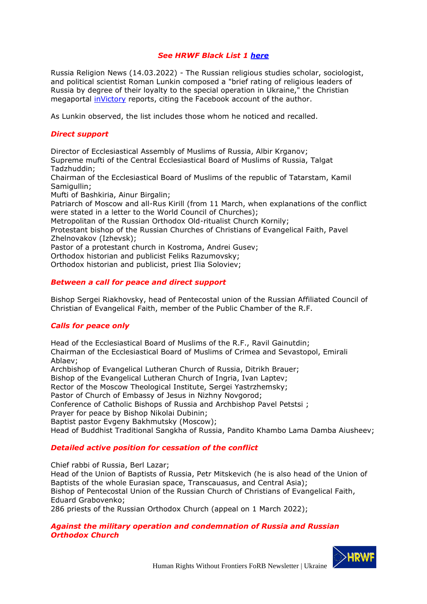## *See HRWF Black List 1 [here](https://hrwf.eu/russia-russian-religious-leaders-and-movements-to-be-sanctioned-black-list-1/)*

Russia Religion News (14.03.2022) - The Russian religious studies scholar, sociologist, and political scientist Roman Lunkin composed a "brief rating of religious leaders of Russia by degree of their loyalty to the special operation in Ukraine," the Christian megaportal [inVictory](https://www.invictory.org/news/society/31797-kratkij-rejting-religioznyh-liderov-rf-po-stepeni-ih-loyalnosti-k-spetsoperatsii-na-ukraine) reports, citing the Facebook account of the author.

As Lunkin observed, the list includes those whom he noticed and recalled.

### *Direct support*

Director of Ecclesiastical Assembly of Muslims of Russia, Albir Krganov; Supreme mufti of the Central Ecclesiastical Board of Muslims of Russia, Talgat Tadzhuddin; Chairman of the Ecclesiastical Board of Muslims of the republic of Tatarstam, Kamil Samigullin: Mufti of Bashkiria, Ainur Birgalin;

Patriarch of Moscow and all-Rus Kirill (from 11 March, when explanations of the conflict were stated in a letter to the World Council of Churches);

Metropolitan of the Russian Orthodox Old-ritualist Church Kornily;

Protestant bishop of the Russian Churches of Christians of Evangelical Faith, Pavel Zhelnovakov (Izhevsk);

Pastor of a protestant church in Kostroma, Andrei Gusev;

Orthodox historian and publicist Feliks Razumovsky;

Orthodox historian and publicist, priest Ilia Soloviev;

### *Between a call for peace and direct support*

Bishop Sergei Riakhovsky, head of Pentecostal union of the Russian Affiliated Council of Christian of Evangelical Faith, member of the Public Chamber of the R.F.

## *Calls for peace only*

Head of the Ecclesiastical Board of Muslims of the R.F., Ravil Gainutdin; Chairman of the Ecclesiastical Board of Muslims of Crimea and Sevastopol, Emirali Ablaev;

Archbishop of Evangelical Lutheran Church of Russia, Ditrikh Brauer;

Bishop of the Evangelical Lutheran Church of Ingria, Ivan Laptev;

Rector of the Moscow Theological Institute, Sergei Yastrzhemsky;

Pastor of Church of Embassy of Jesus in Nizhny Novgorod;

Conference of Catholic Bishops of Russia and Archbishop Pavel Petstsi ;

Prayer for peace by Bishop Nikolai Dubinin;

Baptist pastor Evgeny Bakhmutsky (Moscow);

Head of Buddhist Traditional Sangkha of Russia, Pandito Khambo Lama Damba Aiusheev;

#### *Detailed active position for cessation of the conflict*

Chief rabbi of Russia, Berl Lazar;

Head of the Union of Baptists of Russia, Petr Mitskevich (he is also head of the Union of Baptists of the whole Eurasian space, Transcauasus, and Central Asia); Bishop of Pentecostal Union of the Russian Church of Christians of Evangelical Faith, Eduard Grabovenko; 286 priests of the Russian Orthodox Church (appeal on 1 March 2022);

### *Against the military operation and condemnation of Russia and Russian Orthodox Church*

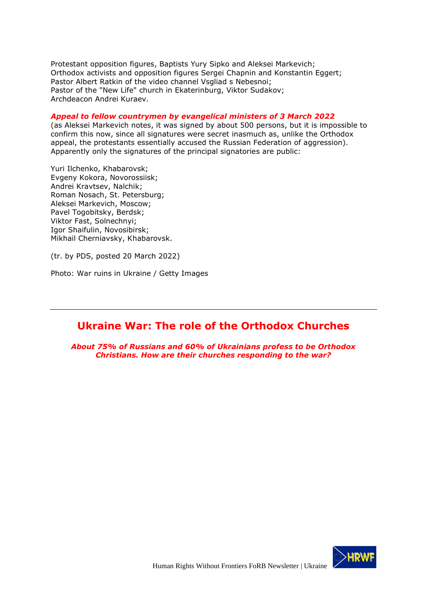Protestant opposition figures, Baptists Yury Sipko and Aleksei Markevich; Orthodox activists and opposition figures Sergei Chapnin and Konstantin Eggert; Pastor Albert Ratkin of the video channel Vsgliad s Nebesnoi; Pastor of the "New Life" church in Ekaterinburg, Viktor Sudakov; Archdeacon Andrei Kuraev.

#### *Appeal to fellow countrymen by evangelical ministers of 3 March 2022*

(as Aleksei Markevich notes, it was signed by about 500 persons, but it is impossible to confirm this now, since all signatures were secret inasmuch as, unlike the Orthodox appeal, the protestants essentially accused the Russian Federation of aggression). Apparently only the signatures of the principal signatories are public:

Yuri Ilchenko, Khabarovsk; Evgeny Kokora, Novorossiisk; Andrei Kravtsev, Nalchik; Roman Nosach, St. Petersburg; Aleksei Markevich, Moscow; Pavel Togobitsky, Berdsk; Viktor Fast, Solnechnyi; Igor Shaifulin, Novosibirsk; Mikhail Cherniavsky, Khabarovsk.

(tr. by PDS, posted 20 March 2022)

Photo: War ruins in Ukraine / Getty Images

## <span id="page-28-0"></span>**Ukraine War: The role of the Orthodox Churches**

*About 75% of Russians and 60% of Ukrainians profess to be Orthodox Christians. How are their churches responding to the war?*

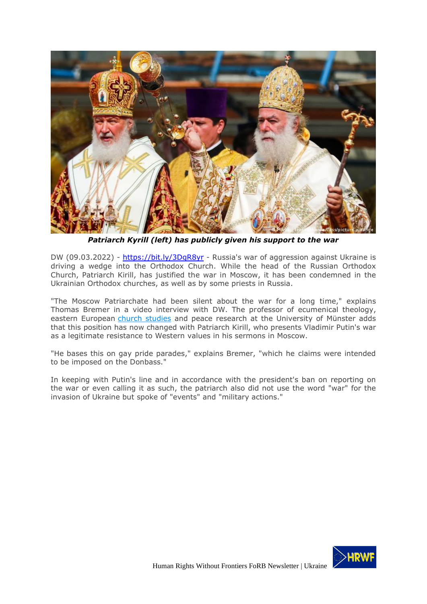

*Patriarch Kyrill (left) has publicly given his support to the war*

DW (09.03.2022) - <https://bit.ly/3DgR8yr> - Russia's war of aggression against Ukraine is driving a wedge into the Orthodox Church. While the head of the Russian Orthodox Church, Patriarch Kirill, has justified the war in Moscow, it has been condemned in the Ukrainian Orthodox churches, as well as by some priests in Russia.

"The Moscow Patriarchate had been silent about the war for a long time," explains Thomas Bremer in a video interview with DW. The professor of ecumenical theology, eastern European [church studies](https://www.dw.com/en/montenegro-tensions-erupt-over-serbian-church-leaders/a-59087415) and peace research at the University of Münster adds that this position has now changed with Patriarch Kirill, who presents Vladimir Putin's war as a legitimate resistance to Western values in his sermons in Moscow.

"He bases this on gay pride parades," explains Bremer, "which he claims were intended to be imposed on the Donbass."

In keeping with Putin's line and in accordance with the president's ban on reporting on the war or even calling it as such, the patriarch also did not use the word "war" for the invasion of Ukraine but spoke of "events" and "military actions."

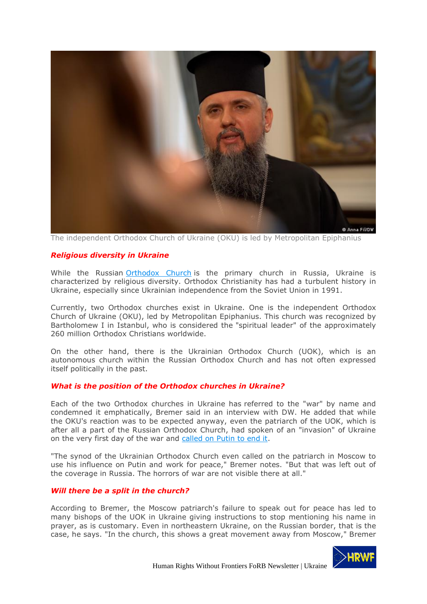

The independent Orthodox Church of Ukraine (OKU) is led by Metropolitan Epiphanius

#### <span id="page-30-0"></span>*Religious diversity in Ukraine*

While the Russian [Orthodox Church](https://www.dw.com/en/romania-orthodox-church-washes-its-hands-of-babys-baptism-death/a-56513955) is the primary church in Russia, Ukraine is characterized by religious diversity. Orthodox Christianity has had a turbulent history in Ukraine, especially since Ukrainian independence from the Soviet Union in 1991.

Currently, two Orthodox churches exist in Ukraine. One is the independent Orthodox Church of Ukraine (OKU), led by Metropolitan Epiphanius. This church was recognized by Bartholomew I in Istanbul, who is considered the "spiritual leader" of the approximately 260 million Orthodox Christians worldwide.

On the other hand, there is the Ukrainian Orthodox Church (UOK), which is an autonomous church within the Russian Orthodox Church and has not often expressed itself politically in the past.

#### <span id="page-30-1"></span>*What is the position of the Orthodox churches in Ukraine?*

Each of the two Orthodox churches in Ukraine has referred to the "war" by name and condemned it emphatically, Bremer said in an interview with DW. He added that while the OKU's reaction was to be expected anyway, even the patriarch of the UOK, which is after all a part of the Russian Orthodox Church, had spoken of an "invasion" of Ukraine on the very first day of the war and [called on Putin to end it.](https://www.dw.com/en/russian-artists-speak-out-against-the-war-in-ukraine/a-60946690)

"The synod of the Ukrainian Orthodox Church even called on the patriarch in Moscow to use his influence on Putin and work for peace," Bremer notes. "But that was left out of the coverage in Russia. The horrors of war are not visible there at all."

#### <span id="page-30-2"></span>*Will there be a split in the church?*

According to Bremer, the Moscow patriarch's failure to speak out for peace has led to many bishops of the UOK in Ukraine giving instructions to stop mentioning his name in prayer, as is customary. Even in northeastern Ukraine, on the Russian border, that is the case, he says. "In the church, this shows a great movement away from Moscow," Bremer

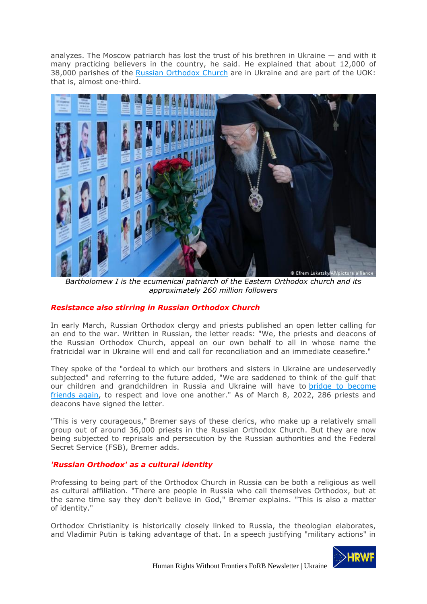analyzes. The Moscow patriarch has lost the trust of his brethren in Ukraine — and with it many practicing believers in the country, he said. He explained that about 12,000 of 38,000 parishes of the [Russian Orthodox Church](https://www.dw.com/en/russian-meddling-in-greece-divides-traditional-orthodox-allies/a-44948712) are in Ukraine and are part of the UOK: that is, almost one-third.



*Bartholomew I is the ecumenical patriarch of the Eastern Orthodox church and its approximately 260 million followers*

## <span id="page-31-0"></span>*Resistance also stirring in Russian Orthodox Church*

In early March, Russian Orthodox clergy and priests published an open letter calling for an end to the war. Written in Russian, the letter reads: "We, the priests and deacons of the Russian Orthodox Church, appeal on our own behalf to all in whose name the fratricidal war in Ukraine will end and call for reconciliation and an immediate ceasefire."

They spoke of the "ordeal to which our brothers and sisters in Ukraine are undeservedly subjected" and referring to the future added, "We are saddened to think of the gulf that our children and grandchildren in Russia and Ukraine will have to [bridge to become](https://www.dw.com/en/germanys-russian-community-faces-harassment-and-hostility/a-61055867) [friends again,](https://www.dw.com/en/germanys-russian-community-faces-harassment-and-hostility/a-61055867) to respect and love one another." As of March 8, 2022, 286 priests and deacons have signed the letter.

"This is very courageous," Bremer says of these clerics, who make up a relatively small group out of around 36,000 priests in the Russian Orthodox Church. But they are now being subjected to reprisals and persecution by the Russian authorities and the Federal Secret Service (FSB), Bremer adds.

#### <span id="page-31-1"></span>*'Russian Orthodox' as a cultural identity*

Professing to being part of the Orthodox Church in Russia can be both a religious as well as cultural affiliation. "There are people in Russia who call themselves Orthodox, but at the same time say they don't believe in God," Bremer explains. "This is also a matter of identity."

Orthodox Christianity is historically closely linked to Russia, the theologian elaborates, and Vladimir Putin is taking advantage of that. In a speech justifying "military actions" in

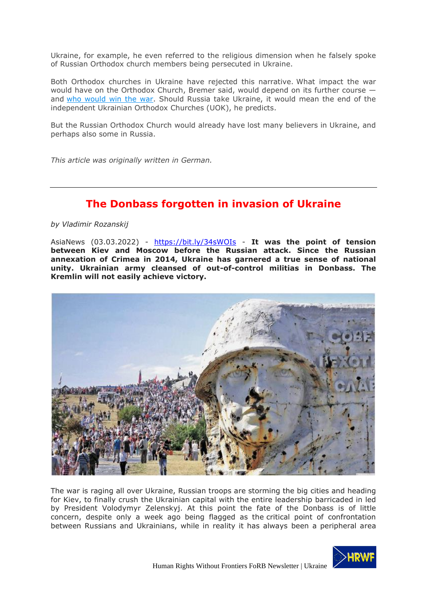Ukraine, for example, he even referred to the religious dimension when he falsely spoke of Russian Orthodox church members being persecuted in Ukraine.

Both Orthodox churches in Ukraine have rejected this narrative. What impact the war would have on the Orthodox Church, Bremer said, would depend on its further course and [who would win the war.](https://www.dw.com/en/correspondents-perspectives-dw-reports-after-airstrikes-in-lviv/a-61027532) Should Russia take Ukraine, it would mean the end of the independent Ukrainian Orthodox Churches (UOK), he predicts.

But the Russian Orthodox Church would already have lost many believers in Ukraine, and perhaps also some in Russia.

*This article was originally written in German.*

# **The Donbass forgotten in invasion of Ukraine**

<span id="page-32-0"></span>*by Vladimir Rozanskij*

AsiaNews (03.03.2022) - <https://bit.ly/34sWOIs> - **It was the point of tension between Kiev and Moscow before the Russian attack. Since the Russian annexation of Crimea in 2014, Ukraine has garnered a true sense of national unity. Ukrainian army cleansed of out-of-control militias in Donbass. The Kremlin will not easily achieve victory.**



The war is raging all over Ukraine, Russian troops are storming the big cities and heading for Kiev, to finally crush the Ukrainian capital with the entire leadership barricaded in led by President Volodymyr Zelenskyj. At this point the fate of the Donbass is of little concern, despite only a week ago being flagged as the critical point of confrontation between Russians and Ukrainians, while in reality it has always been a peripheral area

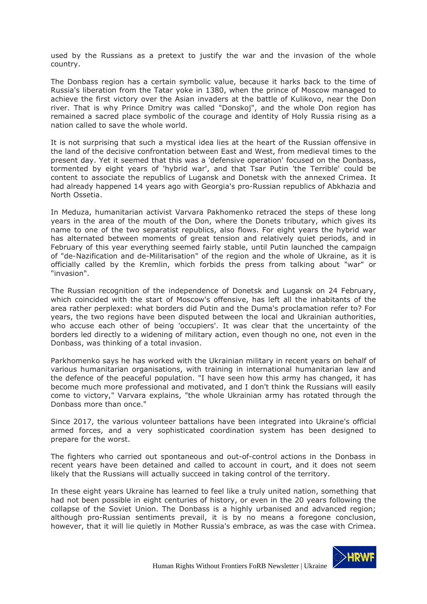used by the Russians as a pretext to justify the war and the invasion of the whole country.

The Donbass region has a certain symbolic value, because it harks back to the time of Russia's liberation from the Tatar yoke in 1380, when the prince of Moscow managed to achieve the first victory over the Asian invaders at the battle of Kulikovo, near the Don river. That is why Prince Dmitry was called "Donskoj", and the whole Don region has remained a sacred place symbolic of the courage and identity of Holy Russia rising as a nation called to save the whole world.

It is not surprising that such a mystical idea lies at the heart of the Russian offensive in the land of the decisive confrontation between East and West, from medieval times to the present day. Yet it seemed that this was a 'defensive operation' focused on the Donbass, tormented by eight years of 'hybrid war', and that Tsar Putin 'the Terrible' could be content to associate the republics of Lugansk and Donetsk with the annexed Crimea. It had already happened 14 years ago with Georgia's pro-Russian republics of Abkhazia and North Ossetia.

In Meduza, humanitarian activist Varvara Pakhomenko retraced the steps of these long years in the area of the mouth of the Don, where the Donets tributary, which gives its name to one of the two separatist republics, also flows. For eight years the hybrid war has alternated between moments of great tension and relatively quiet periods, and in February of this year everything seemed fairly stable, until Putin launched the campaign of "de-Nazification and de-Militarisation" of the region and the whole of Ukraine, as it is officially called by the Kremlin, which forbids the press from talking about "war" or "invasion".

The Russian recognition of the independence of Donetsk and Lugansk on 24 February, which coincided with the start of Moscow's offensive, has left all the inhabitants of the area rather perplexed: what borders did Putin and the Duma's proclamation refer to? For years, the two regions have been disputed between the local and Ukrainian authorities, who accuse each other of being 'occupiers'. It was clear that the uncertainty of the borders led directly to a widening of military action, even though no one, not even in the Donbass, was thinking of a total invasion.

Parkhomenko says he has worked with the Ukrainian military in recent years on behalf of various humanitarian organisations, with training in international humanitarian law and the defence of the peaceful population. "I have seen how this army has changed, it has become much more professional and motivated, and I don't think the Russians will easily come to victory," Varvara explains, "the whole Ukrainian army has rotated through the Donbass more than once."

Since 2017, the various volunteer battalions have been integrated into Ukraine's official armed forces, and a very sophisticated coordination system has been designed to prepare for the worst.

The fighters who carried out spontaneous and out-of-control actions in the Donbass in recent years have been detained and called to account in court, and it does not seem likely that the Russians will actually succeed in taking control of the territory.

In these eight years Ukraine has learned to feel like a truly united nation, something that had not been possible in eight centuries of history, or even in the 20 years following the collapse of the Soviet Union. The Donbass is a highly urbanised and advanced region; although pro-Russian sentiments prevail, it is by no means a foregone conclusion, however, that it will lie quietly in Mother Russia's embrace, as was the case with Crimea.

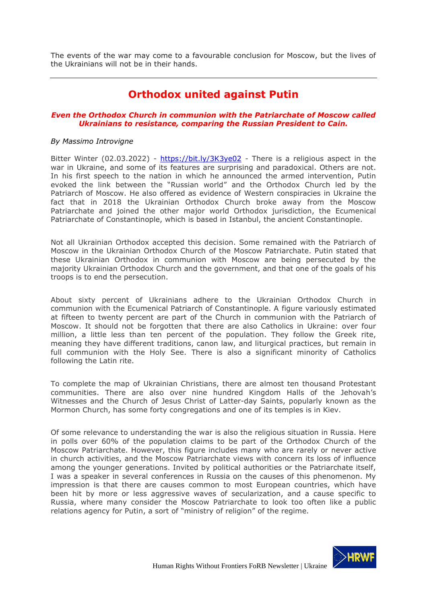<span id="page-34-0"></span>The events of the war may come to a favourable conclusion for Moscow, but the lives of the Ukrainians will not be in their hands.

# **Orthodox united against Putin**

### *Even the Orthodox Church in communion with the Patriarchate of Moscow called Ukrainians to resistance, comparing the Russian President to Cain.*

#### *By Massimo Introvigne*

Bitter Winter (02.03.2022) - <https://bit.ly/3K3ye02> - There is a religious aspect in the war in Ukraine, and some of its features are surprising and paradoxical. Others are not. In his first speech to the nation in which he announced the armed intervention, Putin evoked the link between the "Russian world" and the Orthodox Church led by the Patriarch of Moscow. He also offered as evidence of Western conspiracies in Ukraine the fact that in 2018 the Ukrainian Orthodox Church broke away from the Moscow Patriarchate and joined the other major world Orthodox jurisdiction, the Ecumenical Patriarchate of Constantinople, which is based in Istanbul, the ancient Constantinople.

Not all Ukrainian Orthodox accepted this decision. Some remained with the Patriarch of Moscow in the Ukrainian Orthodox Church of the Moscow Patriarchate. Putin stated that these Ukrainian Orthodox in communion with Moscow are being persecuted by the majority Ukrainian Orthodox Church and the government, and that one of the goals of his troops is to end the persecution.

About sixty percent of Ukrainians adhere to the Ukrainian Orthodox Church in communion with the Ecumenical Patriarch of Constantinople. A figure variously estimated at fifteen to twenty percent are part of the Church in communion with the Patriarch of Moscow. It should not be forgotten that there are also Catholics in Ukraine: over four million, a little less than ten percent of the population. They follow the Greek rite, meaning they have different traditions, canon law, and liturgical practices, but remain in full communion with the Holy See. There is also a significant minority of Catholics following the Latin rite.

To complete the map of Ukrainian Christians, there are almost ten thousand Protestant communities. There are also over nine hundred Kingdom Halls of the Jehovah's Witnesses and the Church of Jesus Christ of Latter-day Saints, popularly known as the Mormon Church, has some forty congregations and one of its temples is in Kiev.

Of some relevance to understanding the war is also the religious situation in Russia. Here in polls over 60% of the population claims to be part of the Orthodox Church of the Moscow Patriarchate. However, this figure includes many who are rarely or never active in church activities, and the Moscow Patriarchate views with concern its loss of influence among the younger generations. Invited by political authorities or the Patriarchate itself, I was a speaker in several conferences in Russia on the causes of this phenomenon. My impression is that there are causes common to most European countries, which have been hit by more or less aggressive waves of secularization, and a cause specific to Russia, where many consider the Moscow Patriarchate to look too often like a public relations agency for Putin, a sort of "ministry of religion" of the regime.

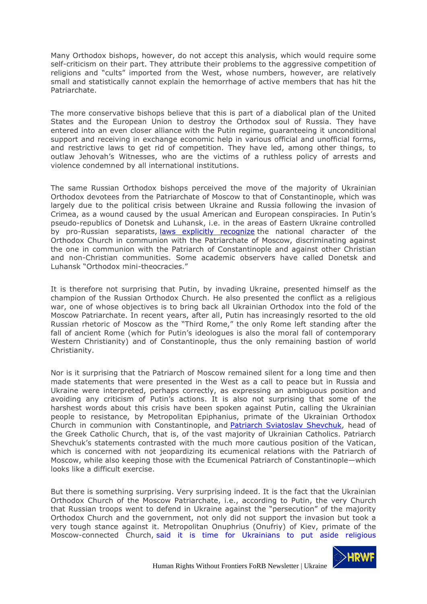Many Orthodox bishops, however, do not accept this analysis, which would require some self-criticism on their part. They attribute their problems to the aggressive competition of religions and "cults" imported from the West, whose numbers, however, are relatively small and statistically cannot explain the hemorrhage of active members that has hit the Patriarchate.

The more conservative bishops believe that this is part of a diabolical plan of the United States and the European Union to destroy the Orthodox soul of Russia. They have entered into an even closer alliance with the Putin regime, guaranteeing it unconditional support and receiving in exchange economic help in various official and unofficial forms, and restrictive laws to get rid of competition. They have led, among other things, to outlaw Jehovah's Witnesses, who are the victims of a ruthless policy of arrests and violence condemned by all international institutions.

The same Russian Orthodox bishops perceived the move of the majority of Ukrainian Orthodox devotees from the Patriarchate of Moscow to that of Constantinople, which was largely due to the political crisis between Ukraine and Russia following the invasion of Crimea, as a wound caused by the usual American and European conspiracies. In Putin's pseudo-republics of Donetsk and Luhansk, i.e. in the areas of Eastern Ukraine controlled by pro-Russian separatists, [laws explicitly recognize](https://bitterwinter.org/donetsk-and-luhansk-denying-religious-liberty/) the national character of the Orthodox Church in communion with the Patriarchate of Moscow, discriminating against the one in communion with the Patriarch of Constantinople and against other Christian and non-Christian communities. Some academic observers have called Donetsk and Luhansk "Orthodox mini-theocracies."

It is therefore not surprising that Putin, by invading Ukraine, presented himself as the champion of the Russian Orthodox Church. He also presented the conflict as a religious war, one of whose objectives is to bring back all Ukrainian Orthodox into the fold of the Moscow Patriarchate. In recent years, after all, Putin has increasingly resorted to the old Russian rhetoric of Moscow as the "Third Rome," the only Rome left standing after the fall of ancient Rome (which for Putin's ideologues is also the moral fall of contemporary Western Christianity) and of Constantinople, thus the only remaining bastion of world Christianity.

Nor is it surprising that the Patriarch of Moscow remained silent for a long time and then made statements that were presented in the West as a call to peace but in Russia and Ukraine were interpreted, perhaps correctly, as expressing an ambiguous position and avoiding any criticism of Putin's actions. It is also not surprising that some of the harshest words about this crisis have been spoken against Putin, calling the Ukrainian people to resistance, by Metropolitan Epiphanius, primate of the Ukrainian Orthodox Church in communion with Constantinople, and **Patriarch Sviatoslav Shevchuk**, head of the Greek Catholic Church, that is, of the vast majority of Ukrainian Catholics. Patriarch Shevchuk's statements contrasted with the much more cautious position of the Vatican, which is concerned with not jeopardizing its ecumenical relations with the Patriarch of Moscow, while also keeping those with the Ecumenical Patriarch of Constantinople—which looks like a difficult exercise.

But there is something surprising. Very surprising indeed. It is the fact that the Ukrainian Orthodox Church of the Moscow Patriarchate, i.e., according to Putin, the very Church that Russian troops went to defend in Ukraine against the "persecution" of the majority Orthodox Church and the government, not only did not support the invasion but took a very tough stance against it. Metropolitan Onuphrius (Onufriy) of Kiev, primate of the Moscow-connected Church, [said it is time for Ukrainians to put aside religious](https://www.oikoumene.org/news/in-ukraine-such-a-war-has-no-excuse-neither-from-god-nor-from-people)

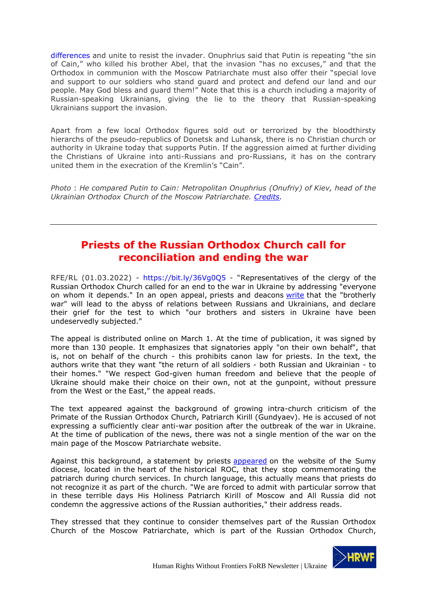[differences](https://www.oikoumene.org/news/in-ukraine-such-a-war-has-no-excuse-neither-from-god-nor-from-people) and unite to resist the invader. Onuphrius said that Putin is repeating "the sin of Cain," who killed his brother Abel, that the invasion "has no excuses," and that the Orthodox in communion with the Moscow Patriarchate must also offer their "special love and support to our soldiers who stand guard and protect and defend our land and our people. May God bless and guard them!" Note that this is a church including a majority of Russian-speaking Ukrainians, giving the lie to the theory that Russian-speaking Ukrainians support the invasion.

Apart from a few local Orthodox figures sold out or terrorized by the bloodthirsty hierarchs of the pseudo-republics of Donetsk and Luhansk, there is no Christian church or authority in Ukraine today that supports Putin. If the aggression aimed at further dividing the Christians of Ukraine into anti-Russians and pro-Russians, it has on the contrary united them in the execration of the Kremlin's "Cain".

*Photo* : *He compared Putin to Cain: Metropolitan Onuphrius (Onufriy) of Kiev, head of the Ukrainian Orthodox Church of the Moscow Patriarchate. [Credits.](https://commons.wikimedia.org/wiki/File:Onufriy_(Berezovsky)_(cropped).jpg)*

# <span id="page-36-0"></span>**Priests of the Russian Orthodox Church call for reconciliation and ending the war**

RFE/RL (01.03.2022) - https://bit.ly/36Vg0Q5 - "Representatives of the clergy of the Russian Orthodox Church called for an end to the war in Ukraine by addressing "everyone on whom it depends." In an open appeal, priests and deacons [write](https://docs.google.com/forms/d/1yOGuXjdFQ1A3BQaEEQr744cwDzmSQ1qePaaBi4z6q3w/viewform?edit_requested=true) that the "brotherly war" will lead to the abyss of relations between Russians and Ukrainians, and declare their grief for the test to which "our brothers and sisters in Ukraine have been undeservedly subjected."

The appeal is distributed online on March 1. At the time of publication, it was signed by more than 130 people. It emphasizes that signatories apply "on their own behalf", that is, not on behalf of the church - this prohibits canon law for priests. In the text, the authors write that they want "the return of all soldiers - both Russian and Ukrainian - to their homes." "We respect God-given human freedom and believe that the people of Ukraine should make their choice on their own, not at the gunpoint, without pressure from the West or the East," the appeal reads.

The text appeared against the background of growing intra-church criticism of the Primate of the Russian Orthodox Church, Patriarch Kirill (Gundyaev). He is accused of not expressing a sufficiently clear anti-war position after the outbreak of the war in Ukraine. At the time of publication of the news, there was not a single mention of the war on the main page of the Moscow Patriarchate website.

Against this background, a statement by priests [appeared](http://portal-pravoslavie.sumy.ua/novini-eparhii/sumska-eparhiya-upc-pripinyae-molitovne-pominannya-moskovskogo-patriarha.html) on the website of the Sumy diocese, located in the heart of the historical ROC, that they stop commemorating the patriarch during church services. In church language, this actually means that priests do not recognize it as part of the church. "We are forced to admit with particular sorrow that in these terrible days His Holiness Patriarch Kirill of Moscow and All Russia did not condemn the aggressive actions of the Russian authorities," their address reads.

They stressed that they continue to consider themselves part of the Russian Orthodox Church of the Moscow Patriarchate, which is part of the Russian Orthodox Church,

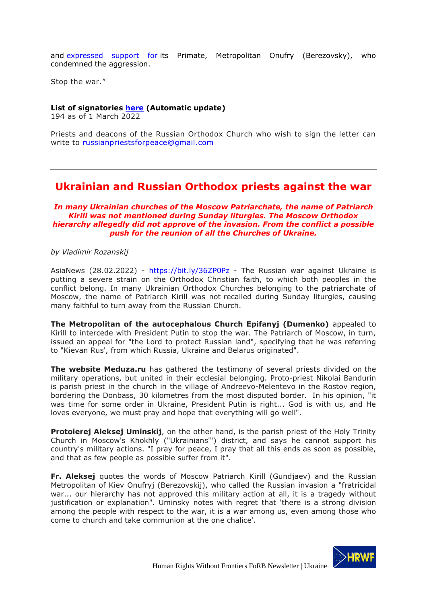and [expressed support for](https://www.svoboda.org/a/predstoyatelj-upts-mp-prosim-putina-prekratitj-bratoubiystvennuyu-voynu/31720820.html) its Primate, Metropolitan Onufry (Berezovsky), who condemned the aggression.

Stop the war."

### **List of signatories [here](https://docs.google.com/forms/d/1yOGuXjdFQ1A3BQaEEQr744cwDzmSQ1qePaaBi4z6q3w/viewform?edit_requested=true) (Automatic update)**

194 as of 1 March 2022

Priests and deacons of the Russian Orthodox Church who wish to sign the letter can write to [russianpriestsforpeace@gmail.com](mailto:russianpriestsforpeace@gmail.com)

## <span id="page-37-0"></span>**Ukrainian and Russian Orthodox priests against the war**

*In many Ukrainian churches of the Moscow Patriarchate, the name of Patriarch Kirill was not mentioned during Sunday liturgies. The Moscow Orthodox hierarchy allegedly did not approve of the invasion. From the conflict a possible push for the reunion of all the Churches of Ukraine.*

*by Vladimir Rozanskij*

AsiaNews (28.02.2022) - <https://bit.ly/36ZP0Pz> - The Russian war against Ukraine is putting a severe strain on the Orthodox Christian faith, to which both peoples in the conflict belong. In many Ukrainian Orthodox Churches belonging to the patriarchate of Moscow, the name of Patriarch Kirill was not recalled during Sunday liturgies, causing many faithful to turn away from the Russian Church.

**The Metropolitan of the autocephalous Church Epifanyj (Dumenko)** appealed to Kirill to intercede with President Putin to stop the war. The Patriarch of Moscow, in turn, issued an appeal for "the Lord to protect Russian land", specifying that he was referring to "Kievan Rus', from which Russia, Ukraine and Belarus originated".

**The website Meduza.ru** has gathered the testimony of several priests divided on the military operations, but united in their ecclesial belonging. Proto-priest Nikolai Bandurin is parish priest in the church in the village of Andreevo-Melentevo in the Rostov region, bordering the Donbass, 30 kilometres from the most disputed border. In his opinion, "it was time for some order in Ukraine, President Putin is right... God is with us, and He loves everyone, we must pray and hope that everything will go well".

**Protoierej Aleksej Uminskij**, on the other hand, is the parish priest of the Holy Trinity Church in Moscow's Khokhly ("Ukrainians'") district, and says he cannot support his country's military actions. "I pray for peace, I pray that all this ends as soon as possible, and that as few people as possible suffer from it".

**Fr. Aleksej** quotes the words of Moscow Patriarch Kirill (Gundjaev) and the Russian Metropolitan of Kiev Onufryj (Berezovskij), who called the Russian invasion a "fratricidal war... our hierarchy has not approved this military action at all, it is a tragedy without justification or explanation". Uminsky notes with regret that 'there is a strong division among the people with respect to the war, it is a war among us, even among those who come to church and take communion at the one chalice'.

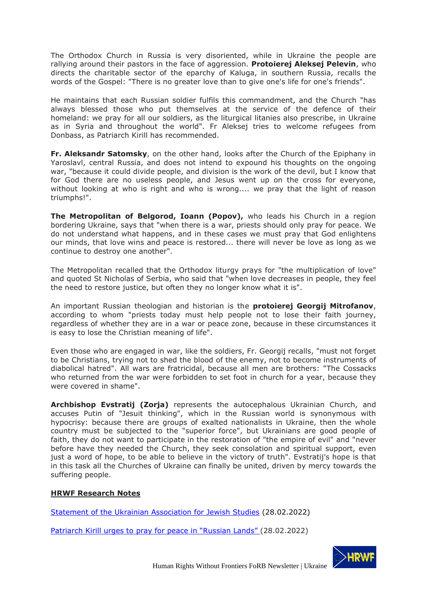The Orthodox Church in Russia is very disoriented, while in Ukraine the people are rallying around their pastors in the face of aggression. **Protoierej Aleksej Pelevin**, who directs the charitable sector of the eparchy of Kaluga, in southern Russia, recalls the words of the Gospel: "There is no greater love than to give one's life for one's friends".

He maintains that each Russian soldier fulfils this commandment, and the Church "has always blessed those who put themselves at the service of the defence of their homeland: we pray for all our soldiers, as the liturgical litanies also prescribe, in Ukraine as in Syria and throughout the world". Fr Aleksej tries to welcome refugees from Donbass, as Patriarch Kirill has recommended.

**Fr. Aleksandr Satomsky**, on the other hand, looks after the Church of the Epiphany in Yaroslavl, central Russia, and does not intend to expound his thoughts on the ongoing war, "because it could divide people, and division is the work of the devil, but I know that for God there are no useless people, and Jesus went up on the cross for everyone, without looking at who is right and who is wrong.... we pray that the light of reason triumphs!".

**The Metropolitan of Belgorod, Ioann (Popov),** who leads his Church in a region bordering Ukraine, says that "when there is a war, priests should only pray for peace. We do not understand what happens, and in these cases we must pray that God enlightens our minds, that love wins and peace is restored... there will never be love as long as we continue to destroy one another".

The Metropolitan recalled that the Orthodox liturgy prays for "the multiplication of love" and quoted St Nicholas of Serbia, who said that "when love decreases in people, they feel the need to restore justice, but often they no longer know what it is".

An important Russian theologian and historian is the **protoierej Georgij Mitrofanov**, according to whom "priests today must help people not to lose their faith journey, regardless of whether they are in a war or peace zone, because in these circumstances it is easy to lose the Christian meaning of life".

Even those who are engaged in war, like the soldiers, Fr. Georgij recalls, "must not forget to be Christians, trying not to shed the blood of the enemy, not to become instruments of diabolical hatred". All wars are fratricidal, because all men are brothers: "The Cossacks who returned from the war were forbidden to set foot in church for a year, because they were covered in shame".

**Archbishop Evstratij (Zorja)** represents the autocephalous Ukrainian Church, and accuses Putin of "Jesuit thinking", which in the Russian world is synonymous with hypocrisy: because there are groups of exalted nationalists in Ukraine, then the whole country must be subjected to the "superior force", but Ukrainians are good people of faith, they do not want to participate in the restoration of "the empire of evil" and "never before have they needed the Church, they seek consolation and spiritual support, even just a word of hope, to be able to believe in the victory of truth". Evstratij's hope is that in this task all the Churches of Ukraine can finally be united, driven by mercy towards the suffering people.

## **HRWF Research Notes**

[Statement of the Ukrainian Association for Jewish Studies](https://uajs.org.ua/en/news/help-ukraine-its-struggle-freedom-uajs-statement) (28.02.2022)

[Patriarch Kirill urges to](http://www.interfax-religion.com/?act=news&div=16449) pray for peace in "Russian Lands" (28.02.2022)

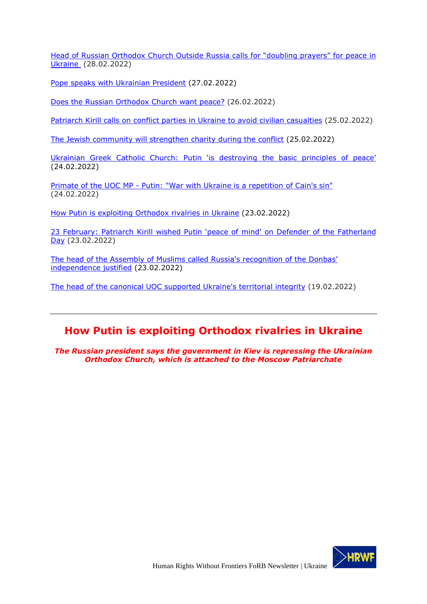[Head of Russian Orthodox Church Outside Russia](http://www.interfax-religion.com/?act=news&div=16451) calls for "doubling prayers" for peace in [Ukraine](http://www.interfax-religion.com/?act=news&div=16451) (28.02.2022)

[Pope speaks with Ukrainian President](https://www.indcatholicnews.com/news/44151) (27.02.2022)

[Does the Russian Orthodox Church want peace?](https://risu.ua/en/does-the-russian-orthodox-church-want-peace_n126437) (26.02.2022)

[Patriarch Kirill calls on conflict parties in Ukraine to avoid civilian casualties](http://www.interfax-religion.com/?act=news&div=16446) (25.02.2022)

[The Jewish community will strengthen charity during the](http://www.interfax-religion.com/?act=news&div=16445) conflict (25.02.2022)

Ukrainian Greek Catholic Church: Pu[tin 'is destroying the basic principles of peace'](https://bit.ly/3tqto6v) (24.02.2022)

Primate of the UOC MP - [Putin: "War with Ukraine is a repetition of Cain's sin"](https://www.svoboda.org/a/predstoyatelj-upts-mp-prosim-putina-prekratitj-bratoubiystvennuyu-voynu/31720820.html) (24.02.2022)

How [Putin is exploiting Orthodox rivalries in](https://bit.ly/33QXAPi) Ukraine (23.02.2022)

23 February: Patriarch [Kirill wished Putin 'peace of](https://hrwf.eu/russia-23-february-patriarch-kirill-wished-putin-peace-of-mind-on-defender-of-the-fatherland-day/) mind' on Defender of the Fatherland [Day](https://hrwf.eu/russia-23-february-patriarch-kirill-wished-putin-peace-of-mind-on-defender-of-the-fatherland-day/) (23.02.2022)

[The head of the Assembly of Muslims called Russia's recognition of the Donba](https://ria.ru/20220223/priznanie-1774487190.html)s' [independence justified](https://ria.ru/20220223/priznanie-1774487190.html) (23.02.2022)

[The head of the canonical UOC supported Ukraine's](https://ria.ru/20220222/kanonicheskaya-1774433607.html) territorial integrity (19.02.2022)

# <span id="page-39-0"></span>**How Putin is exploiting Orthodox rivalries in Ukraine**

*The Russian president says the government in Kiev is repressing the Ukrainian Orthodox Church, which is attached to the Moscow Patriarchate*

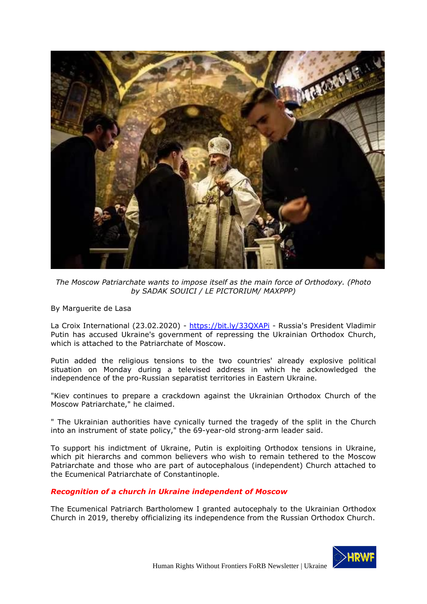

*The Moscow Patriarchate wants to impose itself as the main force of Orthodoxy. (Photo by SADAK SOUICI / LE PICTORIUM/ MAXPPP)*

By Marguerite de Lasa

La Croix International (23.02.2020) - <https://bit.ly/33QXAPi> - Russia's President Vladimir Putin has accused Ukraine's government of repressing the Ukrainian Orthodox Church, which is attached to the Patriarchate of Moscow.

Putin added the religious tensions to the two countries' already explosive political situation on Monday during a televised address in which he acknowledged the independence of the pro-Russian separatist territories in Eastern Ukraine.

"Kiev continues to prepare a crackdown against the Ukrainian Orthodox Church of the Moscow Patriarchate," he claimed.

" The Ukrainian authorities have cynically turned the tragedy of the split in the Church into an instrument of state policy," the 69-year-old strong-arm leader said.

To support his indictment of Ukraine, Putin is exploiting Orthodox tensions in Ukraine, which pit hierarchs and common believers who wish to remain tethered to the Moscow Patriarchate and those who are part of autocephalous (independent) Church attached to the Ecumenical Patriarchate of Constantinople.

## *Recognition of a church in Ukraine independent of Moscow*

The Ecumenical Patriarch Bartholomew I granted autocephaly to the Ukrainian Orthodox Church in 2019, thereby officializing its independence from the Russian Orthodox Church.

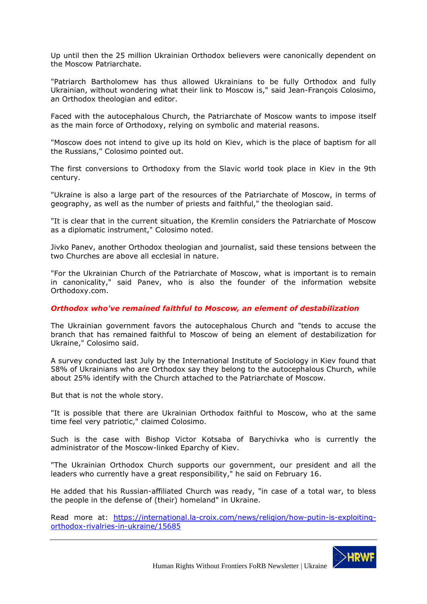Up until then the 25 million Ukrainian Orthodox believers were canonically dependent on the Moscow Patriarchate.

"Patriarch Bartholomew has thus allowed Ukrainians to be fully Orthodox and fully Ukrainian, without wondering what their link to Moscow is," said Jean-François Colosimo, an Orthodox theologian and editor.

Faced with the autocephalous Church, the Patriarchate of Moscow wants to impose itself as the main force of Orthodoxy, relying on symbolic and material reasons.

"Moscow does not intend to give up its hold on Kiev, which is the place of baptism for all the Russians," Colosimo pointed out.

The first conversions to Orthodoxy from the Slavic world took place in Kiev in the 9th century.

"Ukraine is also a large part of the resources of the Patriarchate of Moscow, in terms of geography, as well as the number of priests and faithful," the theologian said.

"It is clear that in the current situation, the Kremlin considers the Patriarchate of Moscow as a diplomatic instrument," Colosimo noted.

Jivko Panev, another Orthodox theologian and journalist, said these tensions between the two Churches are above all ecclesial in nature.

"For the Ukrainian Church of the Patriarchate of Moscow, what is important is to remain in canonicality," said Panev, who is also the founder of the information website Orthodoxy.com.

#### *Orthodox who've remained faithful to Moscow, an element of destabilization*

The Ukrainian government favors the autocephalous Church and "tends to accuse the branch that has remained faithful to Moscow of being an element of destabilization for Ukraine," Colosimo said.

A survey conducted last July by the International Institute of Sociology in Kiev found that 58% of Ukrainians who are Orthodox say they belong to the autocephalous Church, while about 25% identify with the Church attached to the Patriarchate of Moscow.

But that is not the whole story.

"It is possible that there are Ukrainian Orthodox faithful to Moscow, who at the same time feel very patriotic," claimed Colosimo.

Such is the case with Bishop Victor Kotsaba of Barychivka who is currently the administrator of the Moscow-linked Eparchy of Kiev.

"The Ukrainian Orthodox Church supports our government, our president and all the leaders who currently have a great responsibility," he said on February 16.

He added that his Russian-affiliated Church was ready, "in case of a total war, to bless the people in the defense of (their) homeland" in Ukraine.

Read more at: https://international.la-croix.com/news/religion/how-putin-is-exploitingorthodox-rivalries-in-ukraine/15685

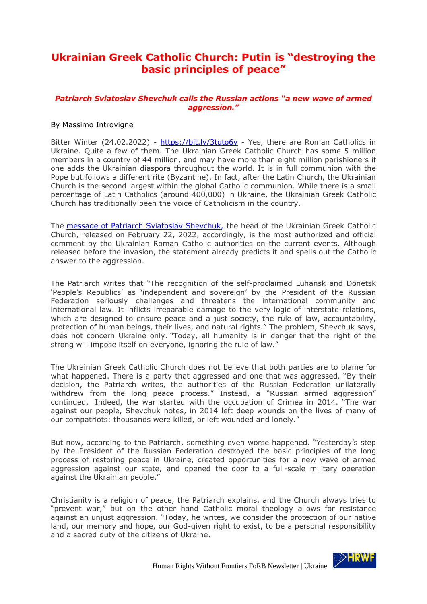# <span id="page-42-0"></span>**Ukrainian Greek Catholic Church: Putin is "destroying the basic principles of peace"**

### *Patriarch Sviatoslav Shevchuk calls the Russian actions "a new wave of armed aggression."*

### By Massimo Introvigne

Bitter Winter (24.02.2022) - https://bit.ly/3tqto6v - Yes, there are Roman Catholics in Ukraine. Quite a few of them. The Ukrainian Greek Catholic Church has some 5 million members in a country of 44 million, and may have more than eight million parishioners if one adds the Ukrainian diaspora throughout the world. It is in full communion with the Pope but follows a different rite (Byzantine). In fact, after the Latin Church, the Ukrainian Church is the second largest within the global Catholic communion. While there is a small percentage of Latin Catholics (around 400,000) in Ukraine, the Ukrainian Greek Catholic Church has traditionally been the voice of Catholicism in the country.

The message of Patriarch Sviatoslav Shevchuk, the head of the Ukrainian Greek Catholic Church, released on February 22, 2022, accordingly, is the most authorized and official comment by the Ukrainian Roman Catholic authorities on the current events. Although released before the invasion, the statement already predicts it and spells out the Catholic answer to the aggression.

The Patriarch writes that "The recognition of the self-proclaimed Luhansk and Donetsk 'People's Republics' as 'independent and sovereign' by the President of the Russian Federation seriously challenges and threatens the international community and international law. It inflicts irreparable damage to the very logic of interstate relations, which are designed to ensure peace and a just society, the rule of law, accountability, protection of human beings, their lives, and natural rights." The problem, Shevchuk says, does not concern Ukraine only. "Today, all humanity is in danger that the right of the strong will impose itself on everyone, ignoring the rule of law."

The Ukrainian Greek Catholic Church does not believe that both parties are to blame for what happened. There is a party that aggressed and one that was aggressed. "By their decision, the Patriarch writes, the authorities of the Russian Federation unilaterally withdrew from the long peace process." Instead, a "Russian armed aggression" continued. Indeed, the war started with the occupation of Crimea in 2014. "The war against our people, Shevchuk notes, in 2014 left deep wounds on the lives of many of our compatriots: thousands were killed, or left wounded and lonely."

But now, according to the Patriarch, something even worse happened. "Yesterday's step by the President of the Russian Federation destroyed the basic principles of the long process of restoring peace in Ukraine, created opportunities for a new wave of armed aggression against our state, and opened the door to a full-scale military operation against the Ukrainian people."

Christianity is a religion of peace, the Patriarch explains, and the Church always tries to "prevent war," but on the other hand Catholic moral theology allows for resistance against an unjust aggression. "Today, he writes, we consider the protection of our native land, our memory and hope, our God-given right to exist, to be a personal responsibility and a sacred duty of the citizens of Ukraine.